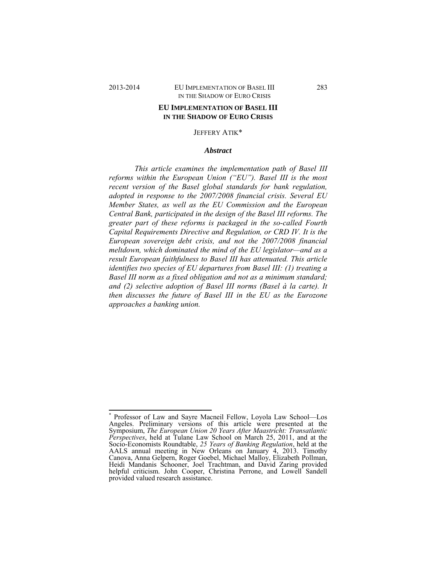# 2013-2014 EU IMPLEMENTATION OF BASEL III 283 IN THE SHADOW OF EURO CRISIS

## **EU IMPLEMENTATION OF BASEL III IN THE SHADOW OF EURO CRISIS**

## JEFFERY ATIK\*

#### *Abstract*

*This article examines the implementation path of Basel III reforms within the European Union ("EU"). Basel III is the most recent version of the Basel global standards for bank regulation, adopted in response to the 2007/2008 financial crisis. Several EU Member States, as well as the EU Commission and the European Central Bank, participated in the design of the Basel III reforms. The greater part of these reforms is packaged in the so-called Fourth Capital Requirements Directive and Regulation, or CRD IV. It is the European sovereign debt crisis, and not the 2007/2008 financial meltdown, which dominated the mind of the EU legislator—and as a result European faithfulness to Basel III has attenuated. This article identifies two species of EU departures from Basel III: (1) treating a Basel III norm as a fixed obligation and not as a minimum standard; and (2) selective adoption of Basel III norms (Basel à la carte). It then discusses the future of Basel III in the EU as the Eurozone approaches a banking union.* 

 \* Professor of Law and Sayre Macneil Fellow, Loyola Law School—Los Angeles. Preliminary versions of this article were presented at the Symposium, *The European Union 20 Years After Maastricht: Transatlantic Perspectives*, held at Tulane Law School on March 25, 2011, and at the Socio-Economists Roundtable, *25 Years of Banking Regulation*, held at the AALS annual meeting in New Orleans on January 4, 2013. Timothy Canova, Anna Gelpern, Roger Goebel, Michael Malloy, Elizabeth Pollman, Heidi Mandanis Schooner, Joel Trachtman, and David Zaring provided helpful criticism. John Cooper, Christina Perrone, and Lowell Sandell provided valued research assistance.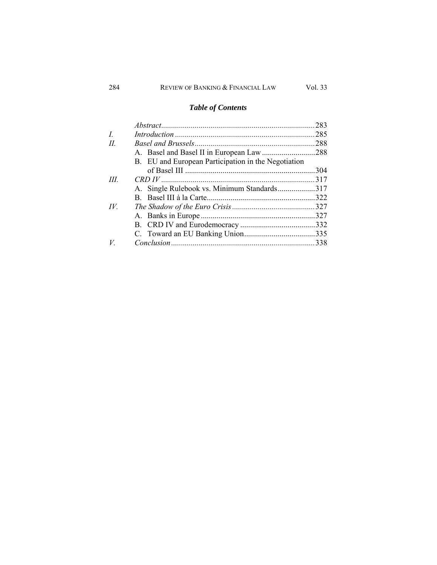# *Table of Contents*

|                |                                                     | .283 |
|----------------|-----------------------------------------------------|------|
| $\overline{L}$ |                                                     |      |
| H.             |                                                     |      |
|                |                                                     |      |
|                | B. EU and European Participation in the Negotiation |      |
|                |                                                     | .304 |
| III            |                                                     |      |
|                | A. Single Rulebook vs. Minimum Standards317         |      |
|                |                                                     |      |
| IV.            |                                                     |      |
|                |                                                     |      |
|                |                                                     |      |
|                |                                                     |      |
| $V_{-}$        |                                                     |      |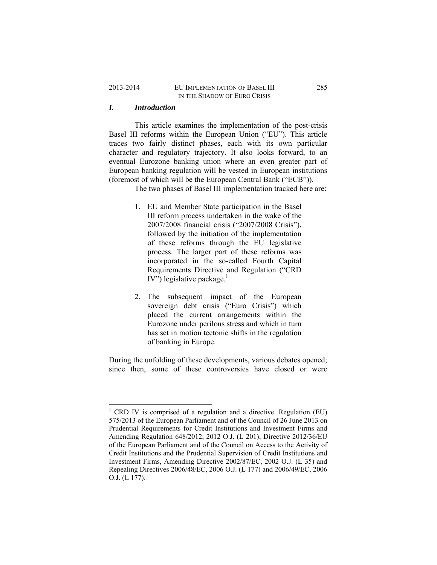## 2013-2014 EU IMPLEMENTATION OF BASEL III 285 IN THE SHADOW OF EURO CRISIS

# *I. Introduction*

This article examines the implementation of the post-crisis Basel III reforms within the European Union ("EU"). This article traces two fairly distinct phases, each with its own particular character and regulatory trajectory. It also looks forward, to an eventual Eurozone banking union where an even greater part of European banking regulation will be vested in European institutions (foremost of which will be the European Central Bank ("ECB")).

The two phases of Basel III implementation tracked here are:

- 1. EU and Member State participation in the Basel III reform process undertaken in the wake of the 2007/2008 financial crisis ("2007/2008 Crisis"), followed by the initiation of the implementation of these reforms through the EU legislative process. The larger part of these reforms was incorporated in the so-called Fourth Capital Requirements Directive and Regulation ("CRD IV") legislative package.<sup>1</sup>
- 2. The subsequent impact of the European sovereign debt crisis ("Euro Crisis") which placed the current arrangements within the Eurozone under perilous stress and which in turn has set in motion tectonic shifts in the regulation of banking in Europe.

During the unfolding of these developments, various debates opened; since then, some of these controversies have closed or were

<sup>1</sup> CRD IV is comprised of a regulation and a directive. Regulation (EU) 575/2013 of the European Parliament and of the Council of 26 June 2013 on Prudential Requirements for Credit Institutions and Investment Firms and Amending Regulation 648/2012, 2012 O.J. (L 201); Directive 2012/36/EU of the European Parliament and of the Council on Access to the Activity of Credit Institutions and the Prudential Supervision of Credit Institutions and Investment Firms, Amending Directive 2002/87/EC, 2002 O.J. (L 35) and Repealing Directives 2006/48/EC, 2006 O.J. (L 177) and 2006/49/EC, 2006 O.J. (L 177).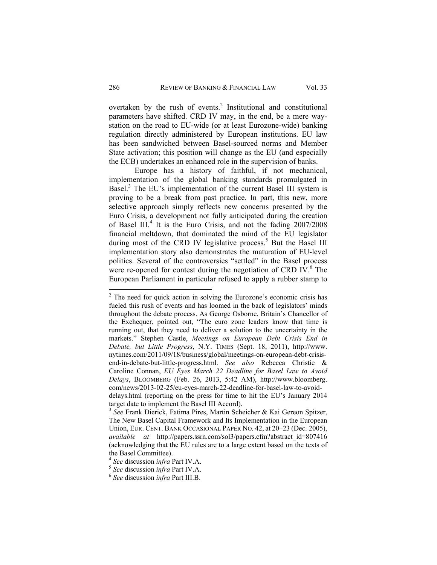overtaken by the rush of events. $2$  Institutional and constitutional parameters have shifted. CRD IV may, in the end, be a mere waystation on the road to EU-wide (or at least Eurozone-wide) banking regulation directly administered by European institutions. EU law has been sandwiched between Basel-sourced norms and Member State activation; this position will change as the EU (and especially the ECB) undertakes an enhanced role in the supervision of banks.

Europe has a history of faithful, if not mechanical, implementation of the global banking standards promulgated in Basel.<sup>3</sup> The EU's implementation of the current Basel III system is proving to be a break from past practice. In part, this new, more selective approach simply reflects new concerns presented by the Euro Crisis, a development not fully anticipated during the creation of Basel III.<sup>4</sup> It is the Euro Crisis, and not the fading 2007/2008 financial meltdown, that dominated the mind of the EU legislator during most of the CRD IV legislative process.<sup>5</sup> But the Basel III implementation story also demonstrates the maturation of EU-level politics. Several of the controversies "settled" in the Basel process were re-opened for contest during the negotiation of CRD IV. $6$  The European Parliament in particular refused to apply a rubber stamp to

 $2^2$  The need for quick action in solving the Eurozone's economic crisis has fueled this rush of events and has loomed in the back of legislators' minds throughout the debate process. As George Osborne, Britain's Chancellor of the Exchequer, pointed out, "The euro zone leaders know that time is running out, that they need to deliver a solution to the uncertainty in the markets." Stephen Castle, *Meetings on European Debt Crisis End in Debate, but Little Progress*, N.Y. TIMES (Sept. 18, 2011), http://www. nytimes.com/2011/09/18/business/global/meetings-on-european-debt-crisisend-in-debate-but-little-progress.html. *See also* Rebecca Christie & Caroline Connan, *EU Eyes March 22 Deadline for Basel Law to Avoid Delays*, BLOOMBERG (Feb. 26, 2013, 5:42 AM), http://www.bloomberg. com/news/2013-02-25/eu-eyes-march-22-deadline-for-basel-law-to-avoiddelays.html (reporting on the press for time to hit the EU's January 2014 target date to implement the Basel III Accord).

<sup>3</sup> *See* Frank Dierick, Fatima Pires, Martin Scheicher & Kai Gereon Spitzer, The New Basel Capital Framework and Its Implementation in the European Union, EUR. CENT. BANK OCCASIONAL PAPER NO. 42, at 20–23 (Dec. 2005), *available at* http://papers.ssrn.com/sol3/papers.cfm?abstract\_id=807416 (acknowledging that the EU rules are to a large extent based on the texts of the Basel Committee).

<sup>4</sup> *See* discussion *infra* Part IV.A. 5 *See* discussion *infra* Part IV.A. 6 *See* discussion *infra* Part III.B.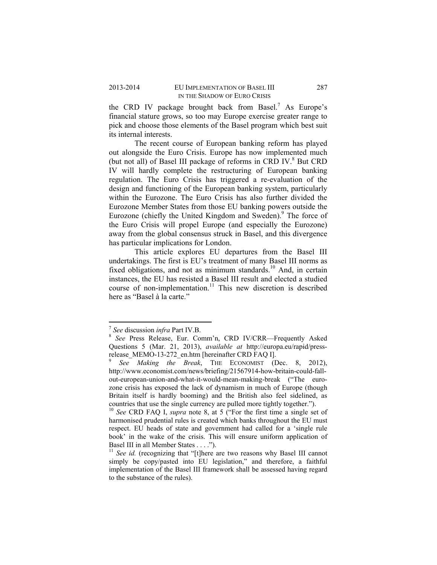the CRD IV package brought back from Basel.<sup>7</sup> As Europe's financial stature grows, so too may Europe exercise greater range to pick and choose those elements of the Basel program which best suit its internal interests.

The recent course of European banking reform has played out alongside the Euro Crisis. Europe has now implemented much (but not all) of Basel III package of reforms in CRD IV.<sup>8</sup> But CRD IV will hardly complete the restructuring of European banking regulation. The Euro Crisis has triggered a re-evaluation of the design and functioning of the European banking system, particularly within the Eurozone. The Euro Crisis has also further divided the Eurozone Member States from those EU banking powers outside the Eurozone (chiefly the United Kingdom and Sweden).<sup>9</sup> The force of the Euro Crisis will propel Europe (and especially the Eurozone) away from the global consensus struck in Basel, and this divergence has particular implications for London.

This article explores EU departures from the Basel III undertakings. The first is EU's treatment of many Basel III norms as fixed obligations, and not as minimum standards.<sup>10</sup> And, in certain instances, the EU has resisted a Basel III result and elected a studied course of non-implementation.<sup>11</sup> This new discretion is described here as "Basel à la carte."

 <sup>7</sup> See discussion *infra* Part IV.B.

*See* Press Release, Eur. Comm'n, CRD IV/CRR—Frequently Asked Questions 5 (Mar. 21, 2013), *available at* http://europa.eu/rapid/pressrelease\_MEMO-13-272\_en.htm [hereinafter CRD FAQ I].

*See Making the Break*, THE ECONOMIST (Dec. 8, 2012), http://www.economist.com/news/briefing/21567914-how-britain-could-fallout-european-union-and-what-it-would-mean-making-break ("The eurozone crisis has exposed the lack of dynamism in much of Europe (though Britain itself is hardly booming) and the British also feel sidelined, as countries that use the single currency are pulled more tightly together."). 10 *See* CRD FAQ I, *supra* note 8, at 5 ("For the first time a single set of

harmonised prudential rules is created which banks throughout the EU must respect. EU heads of state and government had called for a 'single rule book' in the wake of the crisis. This will ensure uniform application of Basel III in all Member States . . . .").

<sup>&</sup>lt;sup>11</sup> See id. (recognizing that "[t]here are two reasons why Basel III cannot simply be copy/pasted into EU legislation," and therefore, a faithful implementation of the Basel III framework shall be assessed having regard to the substance of the rules).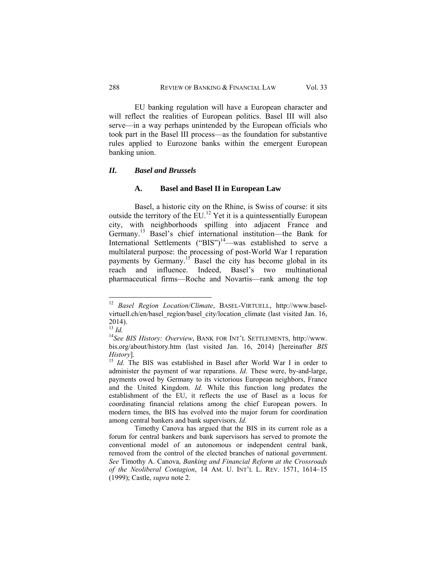EU banking regulation will have a European character and will reflect the realities of European politics. Basel III will also serve—in a way perhaps unintended by the European officials who took part in the Basel III process—as the foundation for substantive rules applied to Eurozone banks within the emergent European banking union.

#### *II. Basel and Brussels*

## **A. Basel and Basel II in European Law**

Basel, a historic city on the Rhine, is Swiss of course: it sits outside the territory of the EU.12 Yet it is a quintessentially European city, with neighborhoods spilling into adjacent France and Germany.13 Basel's chief international institution—the Bank for International Settlements ("BIS")<sup>14</sup>—was established to serve a multilateral purpose: the processing of post-World War I reparation payments by Germany.<sup>15</sup> Basel the city has become global in its reach and influence. Indeed, Basel's two multinational pharmaceutical firms—Roche and Novartis—rank among the top

<sup>12</sup> *Basel Region Location/Climate*, BASEL-VIRTUELL, http://www.baselvirtuell.ch/en/basel\_region/basel\_city/location\_climate (last visited Jan. 16, 2014).<br> $^{13}$  *Id.* 

<sup>&</sup>lt;sup>14</sup> See BIS History: Overview, BANK FOR INT'L SETTLEMENTS, http://www. bis.org/about/history.htm (last visited Jan. 16, 2014) [hereinafter *BIS History*]. *If Id.* The BIS was established in Basel after World War I in order to

administer the payment of war reparations. *Id.* These were, by-and-large, payments owed by Germany to its victorious European neighbors, France and the United Kingdom. *Id.* While this function long predates the establishment of the EU, it reflects the use of Basel as a locus for coordinating financial relations among the chief European powers. In modern times, the BIS has evolved into the major forum for coordination among central bankers and bank supervisors. *Id.* 

Timothy Canova has argued that the BIS in its current role as a forum for central bankers and bank supervisors has served to promote the conventional model of an autonomous or independent central bank, removed from the control of the elected branches of national government. *See* Timothy A. Canova, *Banking and Financial Reform at the Crossroads of the Neoliberal Contagion*, 14 AM. U. INT'L L. REV. 1571, 1614–15 (1999); Castle, *supra* note 2.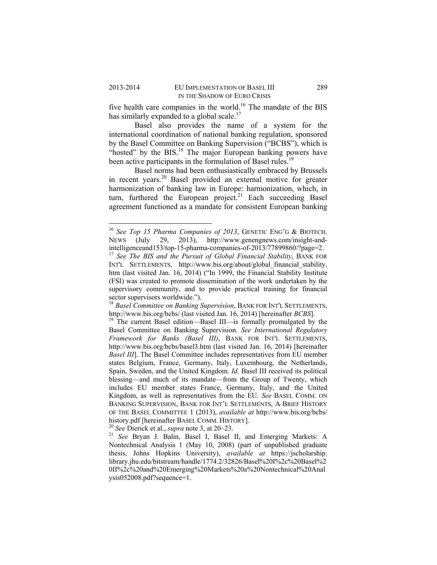five health care companies in the world.<sup>16</sup> The mandate of the BIS has similarly expanded to a global scale.<sup>17</sup>

Basel also provides the name of a system for the international coordination of national banking regulation, sponsored by the Basel Committee on Banking Supervision ("BCBS"), which is "hosted" by the BIS.<sup>18</sup> The major European banking powers have been active participants in the formulation of Basel rules.<sup>19</sup>

Basel norms had been enthusiastically embraced by Brussels in recent years.20 Basel provided an external motive for greater harmonization of banking law in Europe: harmonization, which, in turn, furthered the European project.<sup>21</sup> Each succeeding Basel agreement functioned as a mandate for consistent European banking

<sup>16</sup> *See Top 15 Pharma Companies of 2013*, GENETIC ENG'G & BIOTECH. NEWS (July 29, 2013), http://www.genengnews.com/insight-andintelligenceand153/top-15-pharma-companies-of-2013/77899860/?page=2. 17 *See The BIS and the Pursuit of Global Financial Stability*, BANK FOR

INT'L SETTLEMENTS, http://www.bis.org/about/global\_financial\_stability. htm (last visited Jan. 16, 2014) ("In 1999, the Financial Stability Institute (FSI) was created to promote dissemination of the work undertaken by the supervisory community, and to provide practical training for financial sector supervisors worldwide.").

<sup>&</sup>lt;sup>18</sup> *Basel Committee on Banking Supervision*, BANK FOR INT'L SETTLEMENTS, http://www.bis.org/bcbs/ (last visited Jan. 16, 2014) [hereinafter *BCBS*].

<sup>&</sup>lt;sup>19</sup> The current Basel edition—Basel III—is formally promulgated by the Basel Committee on Banking Supervision. *See International Regulatory Framework for Banks (Basel III)*, BANK FOR INT'L SETTLEMENTS, http://www.bis.org/bcbs/basel3.htm (last visited Jan. 16, 2014) [hereinafter *Basel III*]. The Basel Committee includes representatives from EU member states Belgium, France, Germany, Italy, Luxembourg, the Netherlands, Spain, Sweden, and the United Kingdom. *Id.* Basel III received its political blessing—and much of its mandate—from the Group of Twenty, which includes EU member states France, Germany, Italy, and the United Kingdom, as well as representatives from the EU. *See* BASEL COMM. ON BANKING SUPERVISION, BANK FOR INT'L SETTLEMENTS, A BRIEF HISTORY OF THE BASEL COMMITTEE 1 (2013), *available at* http://www.bis.org/bcbs/ history.pdf [hereinafter BASEL COMM. HISTORY].<br><sup>20</sup> *See* Dierick et al., *supra* note 3, at 20–23.<br><sup>21</sup> *See* Bryan J. Balin, Basel I, Basel II, and Emerging Markets: A

Nontechnical Analysis 1 (May 10, 2008) (part of unpublished graduate thesis, Johns Hopkins University), *available at* https://jscholarship. library.jhu.edu/bitstream/handle/1774.2/32826/Basel%20I%2c%20Basel%2 0II%2c%20and%20Emerging%20Markets%20a%20Nontechnical%20Anal ysis052008.pdf?sequence=1.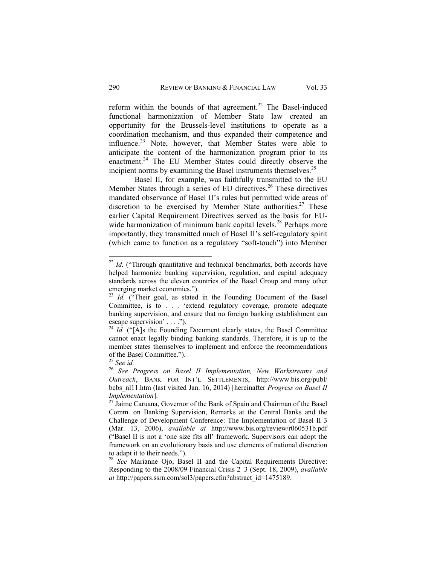reform within the bounds of that agreement.<sup>22</sup> The Basel-induced functional harmonization of Member State law created an opportunity for the Brussels-level institutions to operate as a coordination mechanism, and thus expanded their competence and influence.23 Note, however, that Member States were able to anticipate the content of the harmonization program prior to its enactment.<sup>24</sup> The EU Member States could directly observe the

incipient norms by examining the Basel instruments themselves.<sup>25</sup> Basel II, for example, was faithfully transmitted to the EU Member States through a series of EU directives.<sup>26</sup> These directives mandated observance of Basel II's rules but permitted wide areas of discretion to be exercised by Member State authorities.<sup>27</sup> These earlier Capital Requirement Directives served as the basis for EUwide harmonization of minimum bank capital levels.<sup>28</sup> Perhaps more importantly, they transmitted much of Basel II's self-regulatory spirit (which came to function as a regulatory "soft-touch") into Member

 $22$  *Id.* ("Through quantitative and technical benchmarks, both accords have helped harmonize banking supervision, regulation, and capital adequacy standards across the eleven countries of the Basel Group and many other emerging market economies.").

<sup>&</sup>lt;sup>23</sup> *Id.* ("Their goal, as stated in the Founding Document of the Basel Committee, is to . . . 'extend regulatory coverage, promote adequate banking supervision, and ensure that no foreign banking establishment can escape supervision' . . . .").

 $^{24}$  *Id.* ("[A]s the Founding Document clearly states, the Basel Committee cannot enact legally binding banking standards. Therefore, it is up to the member states themselves to implement and enforce the recommendations of the Basel Committee.").

<sup>25</sup> *See id.* <sup>26</sup> *See Progress on Basel II Implementation, New Workstreams and Outreach*, BANK FOR INT'L SETTLEMENTS, http://www.bis.org/publ/ bcbs\_nl11.htm (last visited Jan. 16, 2014) [hereinafter *Progress on Basel II Implementation*].<br><sup>27</sup> Jaime Caruana, Governor of the Bank of Spain and Chairman of the Basel

Comm. on Banking Supervision, Remarks at the Central Banks and the Challenge of Development Conference: The Implementation of Basel II 3 (Mar. 13, 2006), *available at* http://www.bis.org/review/r060531b.pdf ("Basel II is not a 'one size fits all' framework. Supervisors can adopt the framework on an evolutionary basis and use elements of national discretion to adapt it to their needs.").

<sup>28</sup> *See* Marianne Ojo, Basel II and the Capital Requirements Directive: Responding to the 2008/09 Financial Crisis 2–3 (Sept. 18, 2009), *available at* http://papers.ssrn.com/sol3/papers.cfm?abstract\_id=1475189.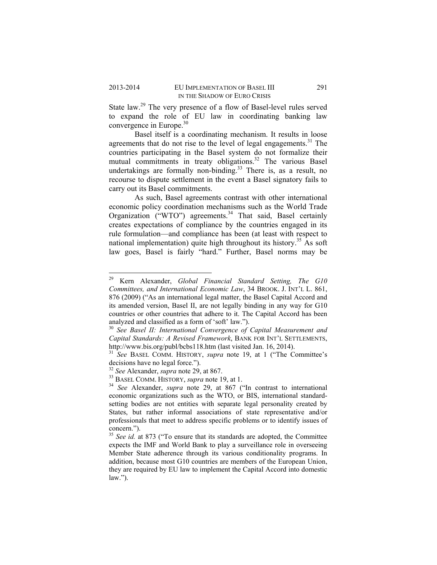State law.<sup>29</sup> The very presence of a flow of Basel-level rules served to expand the role of EU law in coordinating banking law convergence in Europe.<sup>30</sup>

Basel itself is a coordinating mechanism. It results in loose agreements that do not rise to the level of legal engagements.<sup>31</sup> The countries participating in the Basel system do not formalize their mutual commitments in treaty obligations.<sup>32</sup> The various Basel undertakings are formally non-binding.<sup>33</sup> There is, as a result, no recourse to dispute settlement in the event a Basel signatory fails to carry out its Basel commitments.

As such, Basel agreements contrast with other international economic policy coordination mechanisms such as the World Trade Organization ("WTO") agreements.<sup>34</sup> That said, Basel certainly creates expectations of compliance by the countries engaged in its rule formulation—and compliance has been (at least with respect to national implementation) quite high throughout its history.<sup>35</sup> As soft law goes, Basel is fairly "hard." Further, Basel norms may be

<sup>29</sup> Kern Alexander, *Global Financial Standard Setting, The G10 Committees, and International Economic Law*, 34 BROOK. J. INT'L L. 861, 876 (2009) ("As an international legal matter, the Basel Capital Accord and its amended version, Basel II, are not legally binding in any way for G10 countries or other countries that adhere to it. The Capital Accord has been analyzed and classified as a form of 'soft' law.").

<sup>30</sup> *See Basel II: International Convergence of Capital Measurement and Capital Standards: A Revised Framework*, BANK FOR INT'L SETTLEMENTS,

<sup>&</sup>lt;sup>31</sup> See BASEL COMM. HISTORY, *supra* note 19, at 1 ("The Committee's decisions have no legal force.").<br><sup>32</sup> See Alexander, *supra* note 29, at 867.

<sup>&</sup>lt;sup>33</sup> BASEL COMM. HISTORY, *supra* note 19, at 1.<br><sup>34</sup> See Alexander, *supra* note 29, at 867 ("In contrast to international economic organizations such as the WTO, or BIS, international standardsetting bodies are not entities with separate legal personality created by States, but rather informal associations of state representative and/or professionals that meet to address specific problems or to identify issues of concern.").

<sup>&</sup>lt;sup>35</sup> See id. at 873 ("To ensure that its standards are adopted, the Committee expects the IMF and World Bank to play a surveillance role in overseeing Member State adherence through its various conditionality programs. In addition, because most G10 countries are members of the European Union, they are required by EU law to implement the Capital Accord into domestic  $law.'$ ).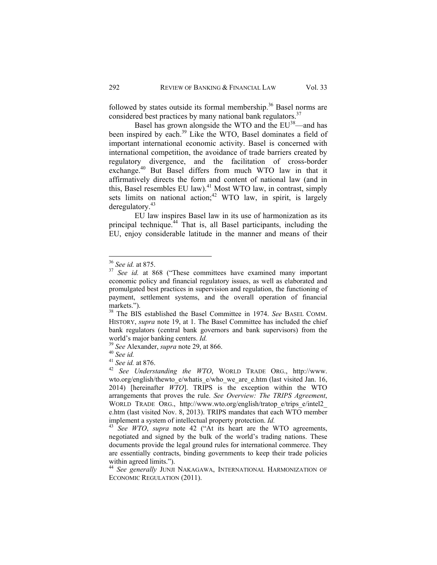followed by states outside its formal membership.<sup>36</sup> Basel norms are considered best practices by many national bank regulators.<sup>37</sup>

Basel has grown alongside the WTO and the  $EU^{38}$ —and has been inspired by each.<sup>39</sup> Like the WTO, Basel dominates a field of important international economic activity. Basel is concerned with international competition, the avoidance of trade barriers created by regulatory divergence, and the facilitation of cross-border exchange.<sup>40</sup> But Basel differs from much WTO law in that it affirmatively directs the form and content of national law (and in this, Basel resembles EU law).<sup>41</sup> Most WTO law, in contrast, simply sets limits on national action: $42$  WTO law, in spirit, is largely deregulatory.43

EU law inspires Basel law in its use of harmonization as its principal technique.44 That is, all Basel participants, including the EU, enjoy considerable latitude in the manner and means of their

<sup>36</sup> *See id.* at 875. 37 *See id.* at 868 ("These committees have examined many important economic policy and financial regulatory issues, as well as elaborated and promulgated best practices in supervision and regulation, the functioning of payment, settlement systems, and the overall operation of financial markets.").

<sup>38</sup> The BIS established the Basel Committee in 1974. *See* BASEL COMM. HISTORY, *supra* note 19, at 1. The Basel Committee has included the chief bank regulators (central bank governors and bank supervisors) from the world's major banking centers. *Id.* <sup>39</sup> *See* Alexander, *supra* note 29, at 866. 40 *See id.* 

<sup>&</sup>lt;sup>42</sup> See Understanding the WTO, WORLD TRADE ORG., http://www. wto.org/english/thewto\_e/whatis\_e/who\_we\_are\_e.htm (last visited Jan. 16, 2014) [hereinafter *WTO*]. TRIPS is the exception within the WTO arrangements that proves the rule. *See Overview: The TRIPS Agreement*, WORLD TRADE ORG., http://www.wto.org/english/tratop\_e/trips\_e/intel2 e.htm (last visited Nov. 8, 2013). TRIPS mandates that each WTO member implement a system of intellectual property protection.  $Id$ .

<sup>&</sup>lt;sup>43</sup> See WTO, supra note 42 ("At its heart are the WTO agreements, negotiated and signed by the bulk of the world's trading nations. These documents provide the legal ground rules for international commerce. They are essentially contracts, binding governments to keep their trade policies within agreed limits.").

<sup>44</sup> *See generally* JUNJI NAKAGAWA, INTERNATIONAL HARMONIZATION OF ECONOMIC REGULATION (2011).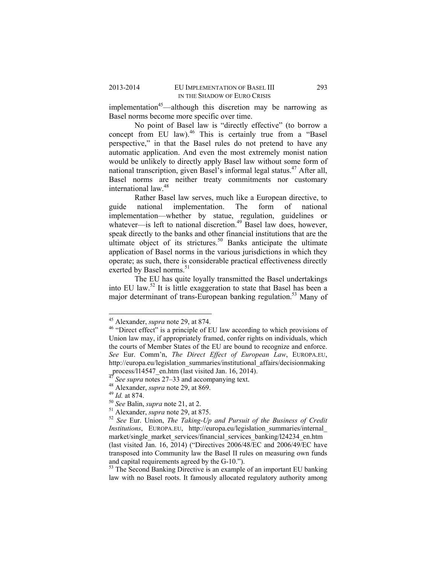implementation<sup>45</sup>—although this discretion may be narrowing as Basel norms become more specific over time.

No point of Basel law is "directly effective" (to borrow a concept from EU law).<sup>46</sup> This is certainly true from a "Basel perspective," in that the Basel rules do not pretend to have any automatic application. And even the most extremely monist nation would be unlikely to directly apply Basel law without some form of national transcription, given Basel's informal legal status.<sup>47</sup> After all, Basel norms are neither treaty commitments nor customary international law.<sup>48</sup>

Rather Basel law serves, much like a European directive, to guide national implementation. The form of national implementation—whether by statue, regulation, guidelines or whatever—is left to national discretion.<sup>49</sup> Basel law does, however, speak directly to the banks and other financial institutions that are the ultimate object of its strictures.<sup>50</sup> Banks anticipate the ultimate application of Basel norms in the various jurisdictions in which they operate; as such, there is considerable practical effectiveness directly exerted by Basel norms.<sup>51</sup>

The EU has quite loyally transmitted the Basel undertakings into EU law.52 It is little exaggeration to state that Basel has been a major determinant of trans-European banking regulation.<sup>53</sup> Many of

<sup>&</sup>lt;sup>45</sup> Alexander, *supra* note 29, at 874.<br><sup>46</sup> "Direct effect" is a principle of EU law according to which provisions of Union law may, if appropriately framed, confer rights on individuals, which the courts of Member States of the EU are bound to recognize and enforce. *See* Eur. Comm'n, *The Direct Effect of European Law*, EUROPA.EU, http://europa.eu/legislation\_summaries/institutional\_affairs/decisionmaking process/l14547\_en.htm (last visited Jan. 16, 2014).

<sup>&</sup>lt;sup>47</sup> See supra notes 27–33 and accompanying text.<br><sup>48</sup> Alexander, *supra* note 29, at 869.<br><sup>49</sup> Id. at 874.<br><sup>50</sup> See Balin, *supra* note 21, at 2.<br><sup>51</sup> Alexander, *supra* note 29, at 875.<br><sup>52</sup> See Eur. Union, *The Taking-Institutions*, EUROPA.EU, http://europa.eu/legislation\_summaries/internal\_ market/single\_market\_services/financial\_services\_banking/l24234\_en.htm (last visited Jan. 16, 2014) ("Directives 2006/48/EC and 2006/49/EC have transposed into Community law the Basel II rules on measuring own funds and capital requirements agreed by the G-10.").  $53$  The Second Banking Directive is an example of an important EU banking

law with no Basel roots. It famously allocated regulatory authority among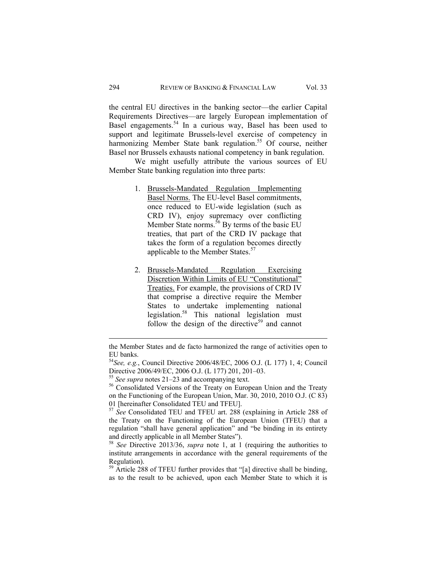the central EU directives in the banking sector—the earlier Capital Requirements Directives—are largely European implementation of Basel engagements.<sup>54</sup> In a curious way, Basel has been used to support and legitimate Brussels-level exercise of competency in harmonizing Member State bank regulation.<sup>55</sup> Of course, neither Basel nor Brussels exhausts national competency in bank regulation.

We might usefully attribute the various sources of EU Member State banking regulation into three parts:

- 1. Brussels-Mandated Regulation Implementing Basel Norms. The EU-level Basel commitments, once reduced to EU-wide legislation (such as CRD IV), enjoy supremacy over conflicting Member State norms.<sup>56</sup> By terms of the basic EU treaties, that part of the CRD IV package that takes the form of a regulation becomes directly applicable to the Member States.<sup>57</sup>
- 2. Brussels-Mandated Regulation Exercising Discretion Within Limits of EU "Constitutional" Treaties. For example, the provisions of CRD IV that comprise a directive require the Member States to undertake implementing national legislation.58 This national legislation must follow the design of the directive<sup>59</sup> and cannot

<sup>&</sup>lt;u> 1989 - Johann Stein, marwolaethau a bhann an t-Amhain Aonaichte ann an t-Amhain Aonaichte ann an t-Amhain Aon</u> the Member States and de facto harmonized the range of activities open to EU banks.

<sup>54</sup>*See, e.g.*, Council Directive 2006/48/EC, 2006 O.J. (L 177) 1, 4; Council Directive 2006/49/EC, 2006 O.J. (L 177) 201, 201–03.<br><sup>55</sup> See supra notes 21–23 and accompanying text.

<sup>&</sup>lt;sup>56</sup> Consolidated Versions of the Treaty on European Union and the Treaty on the Functioning of the European Union, Mar. 30, 2010, 2010 O.J. (C 83) 01 [hereinafter Consolidated TEU and TFEU].

<sup>57</sup> *See* Consolidated TEU and TFEU art. 288 (explaining in Article 288 of the Treaty on the Functioning of the European Union (TFEU) that a regulation "shall have general application" and "be binding in its entirety and directly applicable in all Member States"). 58 *See* Directive 2013/36, *supra* note 1, at 1 (requiring the authorities to

institute arrangements in accordance with the general requirements of the Regulation).

<sup>&</sup>lt;sup>59</sup> Article 288 of TFEU further provides that "[a] directive shall be binding, as to the result to be achieved, upon each Member State to which it is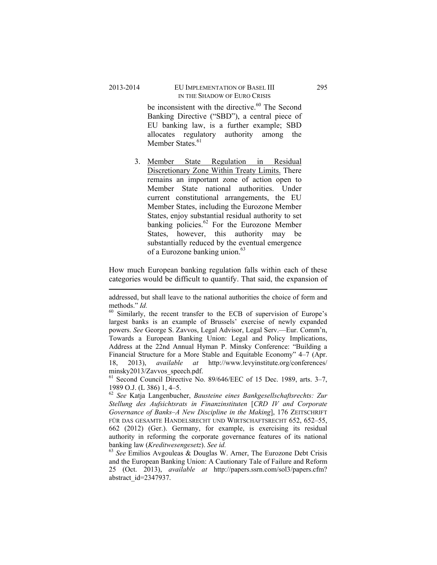be inconsistent with the directive.<sup>60</sup> The Second Banking Directive ("SBD"), a central piece of EU banking law, is a further example; SBD allocates regulatory authority among the Member States<sup>61</sup>

3. Member State Regulation in Residual Discretionary Zone Within Treaty Limits. There remains an important zone of action open to Member State national authorities. Under current constitutional arrangements, the EU Member States, including the Eurozone Member States, enjoy substantial residual authority to set banking policies.<sup>62</sup> For the Eurozone Member States, however, this authority may be substantially reduced by the eventual emergence of a Eurozone banking union.<sup>63</sup>

How much European banking regulation falls within each of these categories would be difficult to quantify. That said, the expansion of

minsky2013/Zavvos\_speech.pdf.<br><sup>61</sup> Second Council Directive No. 89/646/EEC of 15 Dec. 1989, arts. 3–7, 1989 O.J. (L 386) 1, 4–5.

 addressed, but shall leave to the national authorities the choice of form and methods." *Id.* 60 Similarly, the recent transfer to the ECB of supervision of Europe's

largest banks is an example of Brussels' exercise of newly expanded powers. *See* George S. Zavvos, Legal Advisor, Legal Serv.—Eur. Comm'n, Towards a European Banking Union: Legal and Policy Implications, Address at the 22nd Annual Hyman P. Minsky Conference: "Building a Financial Structure for a More Stable and Equitable Economy" 4–7 (Apr. 18, 2013), *available at* http://www.levyinstitute.org/conferences/

<sup>62</sup> *See* Katja Langenbucher, *Bausteine eines Bankgesellschaftsrechts: Zur Stellung des Aufsichtsrats in Finanzinstituten* [*CRD IV and Corporate Governance of Banks–A New Discipline in the Making*], 176 ZEITSCHRIFT FÜR DAS GESAMTE HANDELSRECHT UND WIRTSCHAFTSRECHT 652, 652-55, 662 (2012) (Ger.). Germany, for example, is exercising its residual authority in reforming the corporate governance features of its national banking law (*Kreditwesengesetz*). *See id.* 63 *See* Emilios Avgouleas & Douglas W. Arner, The Eurozone Debt Crisis

and the European Banking Union: A Cautionary Tale of Failure and Reform 25 (Oct. 2013), *available at* http://papers.ssrn.com/sol3/papers.cfm? abstract\_id=2347937.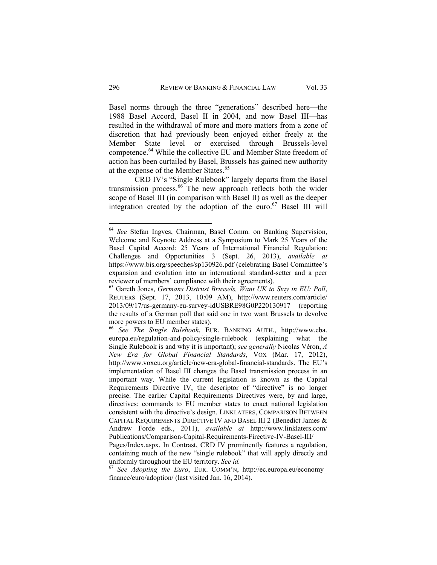Basel norms through the three "generations" described here—the 1988 Basel Accord, Basel II in 2004, and now Basel III—has resulted in the withdrawal of more and more matters from a zone of discretion that had previously been enjoyed either freely at the Member State level or exercised through Brussels-level competence.64 While the collective EU and Member State freedom of action has been curtailed by Basel, Brussels has gained new authority at the expense of the Member States.<sup>65</sup>

CRD IV's "Single Rulebook" largely departs from the Basel transmission process.66 The new approach reflects both the wider scope of Basel III (in comparison with Basel II) as well as the deeper integration created by the adoption of the euro. $67$  Basel III will

<sup>64</sup> *See* Stefan Ingves, Chairman, Basel Comm. on Banking Supervision, Welcome and Keynote Address at a Symposium to Mark 25 Years of the Basel Capital Accord: 25 Years of International Financial Regulation: Challenges and Opportunities 3 (Sept. 26, 2013), *available at*  https://www.bis.org/speeches/sp130926.pdf (celebrating Basel Committee's expansion and evolution into an international standard-setter and a peer reviewer of members' compliance with their agreements). 65 Gareth Jones, *Germans Distrust Brussels, Want UK to Stay in EU: Poll*,

REUTERS (Sept. 17, 2013, 10:09 AM), http://www.reuters.com/article/ 2013/09/17/us-germany-eu-survey-idUSBRE98G0P220130917 (reporting the results of a German poll that said one in two want Brussels to devolve more powers to EU member states).

<sup>66</sup> *See The Single Rulebook*, EUR. BANKING AUTH., http://www.eba. europa.eu/regulation-and-policy/single-rulebook (explaining what the Single Rulebook is and why it is important); *see generally* Nicolas Véron, *A New Era for Global Financial Standards*, VOX (Mar. 17, 2012), http://www.voxeu.org/article/new-era-global-financial-standards. The EU's implementation of Basel III changes the Basel transmission process in an important way. While the current legislation is known as the Capital Requirements Directive IV, the descriptor of "directive" is no longer precise. The earlier Capital Requirements Directives were, by and large, directives: commands to EU member states to enact national legislation consistent with the directive's design. LINKLATERS, COMPARISON BETWEEN CAPITAL REQUIREMENTS DIRECTIVE IV AND BASEL III 2 (Benedict James & Andrew Forde eds., 2011), *available at* http://www.linklaters.com/ Publications/Comparison-Capital-Requirements-Firective-IV-Basel-III/

Pages/Index.aspx. In Contrast, CRD IV prominently features a regulation, containing much of the new "single rulebook" that will apply directly and uniformly throughout the EU territory. *See id.* <sup>67</sup> *See Adopting the Euro*, EUR. COMM'N, http://ec.europa.eu/economy

finance/euro/adoption/ (last visited Jan. 16, 2014).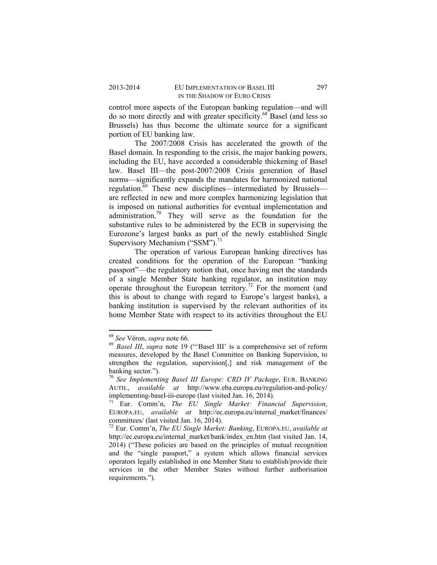control more aspects of the European banking regulation—and will do so more directly and with greater specificity.68 Basel (and less so Brussels) has thus become the ultimate source for a significant portion of EU banking law.

The 2007/2008 Crisis has accelerated the growth of the Basel domain. In responding to the crisis, the major banking powers, including the EU, have accorded a considerable thickening of Basel law. Basel III—the post-2007/2008 Crisis generation of Basel norms—significantly expands the mandates for harmonized national regulation.<sup>69</sup> These new disciplines—intermediated by Brussels are reflected in new and more complex harmonizing legislation that is imposed on national authorities for eventual implementation and administration.70 They will serve as the foundation for the substantive rules to be administered by the ECB in supervising the Eurozone's largest banks as part of the newly established Single Supervisory Mechanism ("SSM").<sup>71</sup>

The operation of various European banking directives has created conditions for the operation of the European "banking passport"—the regulatory notion that, once having met the standards of a single Member State banking regulator, an institution may operate throughout the European territory.<sup>72</sup> For the moment (and this is about to change with regard to Europe's largest banks), a banking institution is supervised by the relevant authorities of its home Member State with respect to its activities throughout the EU

<sup>68</sup> *See* Véron, *supra* note 66. 69 *Basel III*, *supra* note 19 ("'Basel III' is a comprehensive set of reform measures, developed by the Basel Committee on Banking Supervision, to strengthen the regulation, supervision[,] and risk management of the banking sector.").

<sup>70</sup> *See Implementing Basel III Europe: CRD IV Package*, EUR. BANKING AUTH., *available at* http://www.eba.europa.eu/regulation-and-policy/ implementing-basel-iii-europe (last visited Jan. 16, 2014).

<sup>71</sup> Eur. Comm'n, *The EU Single Market: Financial Supervision*, EUROPA.EU, *available at* http://ec.europa.eu/internal\_market/finances/ committees/ (last visited Jan. 16, 2014).

<sup>72</sup> Eur. Comm'n, *The EU Single Market: Banking*, EUROPA.EU, *available at*  http://ec.europa.eu/internal\_market/bank/index\_en.htm (last visited Jan. 14, 2014) ("These policies are based on the principles of mutual recognition and the "single passport," a system which allows financial services operators legally established in one Member State to establish/provide their services in the other Member States without further authorisation requirements.").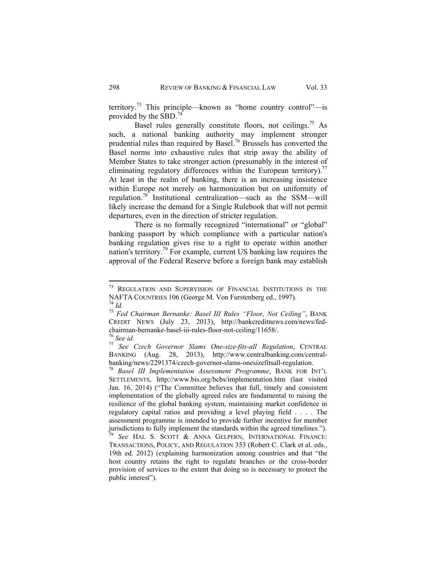territory.<sup>73</sup> This principle—known as "home country control"—is provided by the SBD.<sup>74</sup>

Basel rules generally constitute floors, not ceilings.<sup>75</sup> As such, a national banking authority may implement stronger prudential rules than required by Basel.76 Brussels has converted the Basel norms into exhaustive rules that strip away the ability of Member States to take stronger action (presumably in the interest of eliminating regulatory differences within the European territory).<sup>77</sup> At least in the realm of banking, there is an increasing insistence within Europe not merely on harmonization but on uniformity of regulation.78 Institutional centralization—such as the SSM—will likely increase the demand for a Single Rulebook that will not permit departures, even in the direction of stricter regulation.

There is no formally recognized "international" or "global" banking passport by which compliance with a particular nation's banking regulation gives rise to a right to operate within another nation's territory.79 For example, current US banking law requires the approval of the Federal Reserve before a foreign bank may establish

<sup>&</sup>lt;sup>73</sup> REGULATION AND SUPERVISION OF FINANCIAL INSTITUTIONS IN THE NAFTA COUNTRIES 106 (George M. Von Furstenberg ed., 1997). 74 *Id.* <sup>75</sup> *Fed Chairman Bernanke: Basel III Rules "Floor, Not Ceiling"*, BANK

CREDIT NEWS (July 23, 2013), http://bankcreditnews.com/news/fedchairman-bernanke-basel-iii-rules-floor-not-ceiling/11658/.<sup>76</sup> See id.

<sup>&</sup>lt;sup>77</sup> See Czech Governor Slams One-size-fits-all Regulation, CENTRAL BANKING (Aug. 28, 2013), http://www.centralbanking.com/centralbanking/news/2291374/czech-governor-slams-onesizefitsall-regulation. 78 *Basel III Implementation Assessment Programme*, BANK FOR INT'L

SETTLEMENTS, http://www.bis.org/bcbs/implementation.htm (last visited Jan. 16, 2014) ("The Committee believes that full, timely and consistent implementation of the globally agreed rules are fundamental to raising the resilience of the global banking system, maintaining market confidence in regulatory capital ratios and providing a level playing field . . . . The assessment programme is intended to provide further incentive for member jurisdictions to fully implement the standards within the agreed timelines."). <sup>79</sup> *See* HAL S. SCOTT & ANNA GELPERN, INTERNATIONAL FINANCE:

TRANSACTIONS, POLICY, AND REGULATION 353 (Robert C. Clark et al. eds., 19th ed. 2012) (explaining harmonization among countries and that "the host country retains the right to regulate branches or the cross-border provision of services to the extent that doing so is necessary to protect the public interest").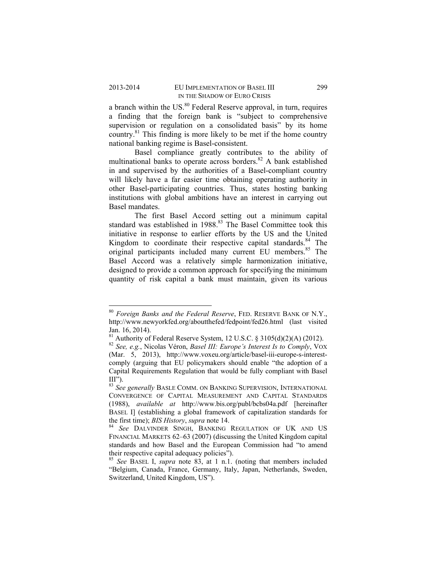a branch within the US. $80$  Federal Reserve approval, in turn, requires a finding that the foreign bank is "subject to comprehensive supervision or regulation on a consolidated basis" by its home country. $81$  This finding is more likely to be met if the home country. national banking regime is Basel-consistent.

Basel compliance greatly contributes to the ability of multinational banks to operate across borders.<sup>82</sup> A bank established in and supervised by the authorities of a Basel-compliant country will likely have a far easier time obtaining operating authority in other Basel-participating countries. Thus, states hosting banking institutions with global ambitions have an interest in carrying out Basel mandates.

The first Basel Accord setting out a minimum capital standard was established in 1988.<sup>83</sup> The Basel Committee took this initiative in response to earlier efforts by the US and the United Kingdom to coordinate their respective capital standards. $84$  The original participants included many current EU members.<sup>85</sup> The Basel Accord was a relatively simple harmonization initiative, designed to provide a common approach for specifying the minimum quantity of risk capital a bank must maintain, given its various

<sup>80</sup> *Foreign Banks and the Federal Reserve*, FED. RESERVE BANK OF N.Y., http://www.newyorkfed.org/aboutthefed/fedpoint/fed26.html (last visited Jan. 16, 2014).

 $81$  Authority of Federal Reserve System, 12 U.S.C. § 3105(d)(2)(A) (2012).

<sup>82</sup> *See, e.g.*, Nicolas Véron, *Basel III: Europe's Interest Is to Comply*, VOX (Mar. 5, 2013), http://www.voxeu.org/article/basel-iii-europe-s-interestcomply (arguing that EU policymakers should enable "the adoption of a Capital Requirements Regulation that would be fully compliant with Basel  $III$ ").

<sup>83</sup> *See generally* BASLE COMM. ON BANKING SUPERVISION, INTERNATIONAL CONVERGENCE OF CAPITAL MEASUREMENT AND CAPITAL STANDARDS (1988), *available at* http://www.bis.org/publ/bcbs04a.pdf [hereinafter BASEL I] (establishing a global framework of capitalization standards for the first time); *BIS History*, *supra* note 14.

the first time); *BIS History*, *supra* note 14. 84 *See* DALVINDER SINGH, BANKING REGULATION OF UK AND US FINANCIAL MARKETS 62–63 (2007) (discussing the United Kingdom capital standards and how Basel and the European Commission had "to amend their respective capital adequacy policies").

<sup>85</sup> *See* BASEL I, *supra* note 83, at 1 n.1. (noting that members included "Belgium, Canada, France, Germany, Italy, Japan, Netherlands, Sweden, Switzerland, United Kingdom, US").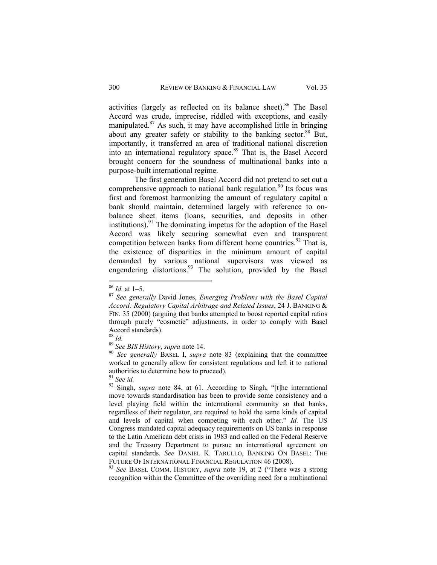activities (largely as reflected on its balance sheet).<sup>86</sup> The Basel Accord was crude, imprecise, riddled with exceptions, and easily manipulated.87 As such, it may have accomplished little in bringing about any greater safety or stability to the banking sector.<sup>88</sup> But, importantly, it transferred an area of traditional national discretion into an international regulatory space.<sup>89</sup> That is, the Basel Accord brought concern for the soundness of multinational banks into a purpose-built international regime.

The first generation Basel Accord did not pretend to set out a comprehensive approach to national bank regulation.<sup>90</sup> Its focus was first and foremost harmonizing the amount of regulatory capital a bank should maintain, determined largely with reference to onbalance sheet items (loans, securities, and deposits in other institutions).<sup>91</sup> The dominating impetus for the adoption of the Basel Accord was likely securing somewhat even and transparent competition between banks from different home countries.<sup>92</sup> That is, the existence of disparities in the minimum amount of capital demanded by various national supervisors was viewed as engendering distortions.<sup>93</sup> The solution, provided by the Basel

recognition within the Committee of the overriding need for a multinational

<sup>86</sup> *Id.* at 1–5. 87 *See generally* David Jones, *Emerging Problems with the Basel Capital Accord: Regulatory Capital Arbitrage and Related Issues*, 24 J. BANKING & FIN. 35 (2000) (arguing that banks attempted to boost reported capital ratios through purely "cosmetic" adjustments, in order to comply with Basel Accord standards).<br> $88$  *Id.* 

<sup>&</sup>lt;sup>89</sup> *See BIS History, supra* note 14. <sup>90</sup> *See generally BASEL I, supra* note 83 (explaining that the committee worked to generally allow for consistent regulations and left it to national authorities to determine how to proceed).

<sup>91</sup> *See id.* 92 Singh, *supra* note 84, at 61. According to Singh, "[t]he international move towards standardisation has been to provide some consistency and a level playing field within the international community so that banks, regardless of their regulator, are required to hold the same kinds of capital and levels of capital when competing with each other." *Id.* The US Congress mandated capital adequacy requirements on US banks in response to the Latin American debt crisis in 1983 and called on the Federal Reserve and the Treasury Department to pursue an international agreement on capital standards. *See* DANIEL K. TARULLO, BANKING ON BASEL: THE FUTURE OF INTERNATIONAL FINANCIAL REGULATION 46 (2008). 93 *See* BASEL COMM. HISTORY, *supra* note 19, at 2 ("There was a strong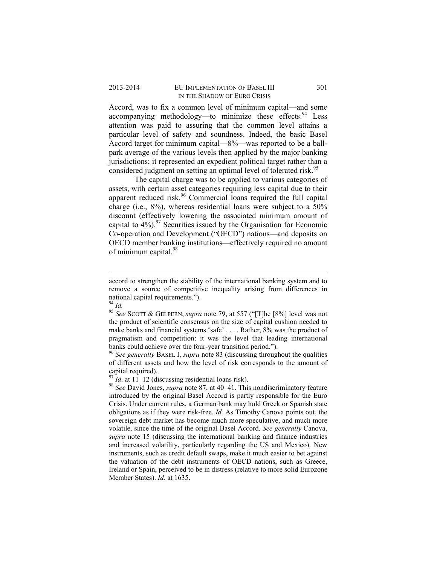## 2013-2014 EU IMPLEMENTATION OF BASEL III 301 IN THE SHADOW OF EURO CRISIS

Accord, was to fix a common level of minimum capital—and some accompanying methodology—to minimize these effects. <sup>94</sup> Less attention was paid to assuring that the common level attains a particular level of safety and soundness. Indeed, the basic Basel Accord target for minimum capital—8%—was reported to be a ballpark average of the various levels then applied by the major banking jurisdictions; it represented an expedient political target rather than a considered judgment on setting an optimal level of tolerated risk.<sup>95</sup>

The capital charge was to be applied to various categories of assets, with certain asset categories requiring less capital due to their apparent reduced risk.96 Commercial loans required the full capital charge (i.e., 8%), whereas residential loans were subject to a 50% discount (effectively lowering the associated minimum amount of capital to  $4\%$ ).<sup>97</sup> Securities issued by the Organisation for Economic Co-operation and Development ("OECD") nations—and deposits on OECD member banking institutions—effectively required no amount of minimum capital.<sup>98</sup>

of different assets and how the level of risk corresponds to the amount of capital required).<br> $^{97}$  *Id.* at 11–12 (discussing residential loans risk).

accord to strengthen the stability of the international banking system and to remove a source of competitive inequality arising from differences in national capital requirements.").<br> $^{94}$  *Id.* 

<sup>&</sup>lt;sup>95</sup> See SCOTT & GELPERN, *supra* note 79, at 557 ("[T]he [8%] level was not the product of scientific consensus on the size of capital cushion needed to make banks and financial systems 'safe' . . . . Rather, 8% was the product of pragmatism and competition: it was the level that leading international banks could achieve over the four-year transition period."). 96 *See generally* BASEL I, *supra* note 83 (discussing throughout the qualities

<sup>&</sup>lt;sup>98</sup> See David Jones, *supra* note 87, at 40–41. This nondiscriminatory feature introduced by the original Basel Accord is partly responsible for the Euro Crisis. Under current rules, a German bank may hold Greek or Spanish state obligations as if they were risk-free. *Id.* As Timothy Canova points out, the sovereign debt market has become much more speculative, and much more volatile, since the time of the original Basel Accord. *See generally* Canova, *supra* note 15 (discussing the international banking and finance industries and increased volatility, particularly regarding the US and Mexico). New instruments, such as credit default swaps, make it much easier to bet against the valuation of the debt instruments of OECD nations, such as Greece, Ireland or Spain, perceived to be in distress (relative to more solid Eurozone Member States). *Id.* at 1635.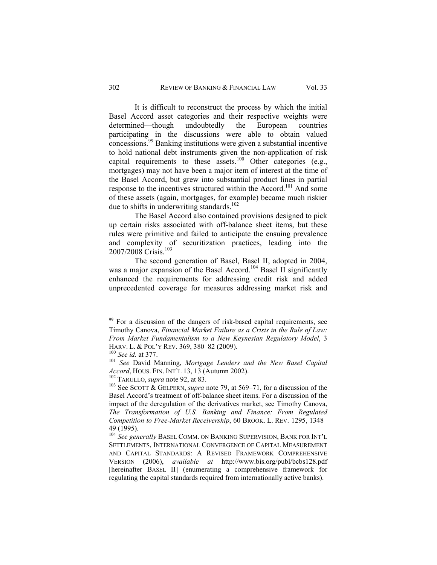It is difficult to reconstruct the process by which the initial Basel Accord asset categories and their respective weights were determined—though undoubtedly the European countries participating in the discussions were able to obtain valued concessions.<sup>99</sup> Banking institutions were given a substantial incentive to hold national debt instruments given the non-application of risk capital requirements to these assets.<sup>100</sup> Other categories (e.g., mortgages) may not have been a major item of interest at the time of the Basel Accord, but grew into substantial product lines in partial response to the incentives structured within the Accord.<sup>101</sup> And some of these assets (again, mortgages, for example) became much riskier due to shifts in underwriting standards. $102$ 

The Basel Accord also contained provisions designed to pick up certain risks associated with off-balance sheet items, but these rules were primitive and failed to anticipate the ensuing prevalence and complexity of securitization practices, leading into the 2007/2008 Crisis.<sup>103</sup>

The second generation of Basel, Basel II, adopted in 2004, was a major expansion of the Basel Accord.<sup>104</sup> Basel II significantly enhanced the requirements for addressing credit risk and added unprecedented coverage for measures addressing market risk and

<sup>&</sup>lt;sup>99</sup> For a discussion of the dangers of risk-based capital requirements, see Timothy Canova, *Financial Market Failure as a Crisis in the Rule of Law: From Market Fundamentalism to a New Keynesian Regulatory Model*, 3 HARV. L. & POL'Y REV. 369, 380–82 (2009).<br><sup>100</sup> *See id.* at 377.<br><sup>101</sup> *See David Manning, Mortgage Lenders and the New Basel Capital* 

*Accord*, HOUS. FIN. INT'L 13, 13 (Autumn 2002).<br><sup>102</sup> TARULLO, *supra* note 92, at 83.<br><sup>103</sup> See SCOTT & GELPERN, *supra* note 79, at 569–71, for a discussion of the

Basel Accord's treatment of off-balance sheet items. For a discussion of the impact of the deregulation of the derivatives market, see Timothy Canova, *The Transformation of U.S. Banking and Finance: From Regulated Competition to Free-Market Receivership*, 60 BROOK. L. REV. 1295, 1348– 49 (1995).

<sup>104</sup> *See generally* BASEL COMM. ON BANKING SUPERVISION, BANK FOR INT'L SETTLEMENTS, INTERNATIONAL CONVERGENCE OF CAPITAL MEASUREMENT AND CAPITAL STANDARDS: A REVISED FRAMEWORK COMPREHENSIVE VERSION (2006), *available at* http://www.bis.org/publ/bcbs128.pdf [hereinafter BASEL II] (enumerating a comprehensive framework for regulating the capital standards required from internationally active banks).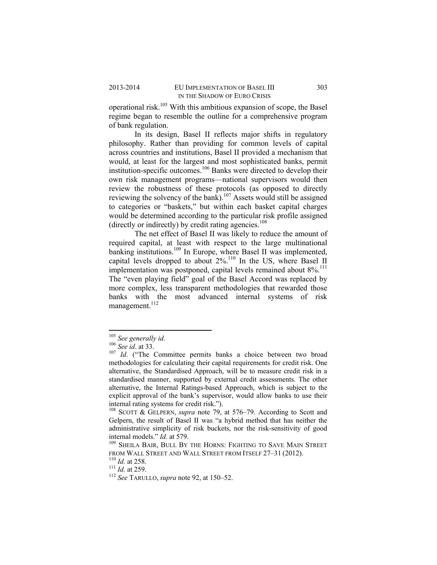operational risk.<sup>105</sup> With this ambitious expansion of scope, the Basel regime began to resemble the outline for a comprehensive program of bank regulation.

In its design, Basel II reflects major shifts in regulatory philosophy. Rather than providing for common levels of capital across countries and institutions, Basel II provided a mechanism that would, at least for the largest and most sophisticated banks, permit institution-specific outcomes.106 Banks were directed to develop their own risk management programs—national supervisors would then review the robustness of these protocols (as opposed to directly reviewing the solvency of the bank).<sup>107</sup> Assets would still be assigned to categories or "baskets," but within each basket capital charges would be determined according to the particular risk profile assigned (directly or indirectly) by credit rating agencies.<sup>108</sup>

The net effect of Basel II was likely to reduce the amount of required capital, at least with respect to the large multinational banking institutions.<sup>109</sup> In Europe, where Basel II was implemented, capital levels dropped to about 2%.<sup>110</sup> In the US, where Basel II implementation was postponed, capital levels remained about 8%.<sup>111</sup> The "even playing field" goal of the Basel Accord was replaced by more complex, less transparent methodologies that rewarded those banks with the most advanced internal systems of risk management.<sup>112</sup>

<sup>&</sup>lt;sup>105</sup> See generally id.<br><sup>106</sup> See id. at 33.<br><sup>107</sup> *Id.* ("The Committee permits banks a choice between two broad methodologies for calculating their capital requirements for credit risk. One alternative, the Standardised Approach, will be to measure credit risk in a standardised manner, supported by external credit assessments. The other alternative, the Internal Ratings-based Approach, which is subject to the explicit approval of the bank's supervisor, would allow banks to use their internal rating systems for credit risk.").

<sup>108</sup> SCOTT & GELPERN, *supra* note 79, at 576–79. According to Scott and Gelpern, the result of Basel II was "a hybrid method that has neither the administrative simplicity of risk buckets, nor the risk-sensitivity of good internal models." *Id.* at 579.<br><sup>109</sup> SHEILA BAIR, BULL BY THE HORNS: FIGHTING TO SAVE MAIN STREET

FROM WALL STREET AND WALL STREET FROM ITSELF 27–31 (2012). 110 *Id.* at 258. 111 *Id.* at 259. 112 *See* TARULLO, *supra* note 92, at 150–52.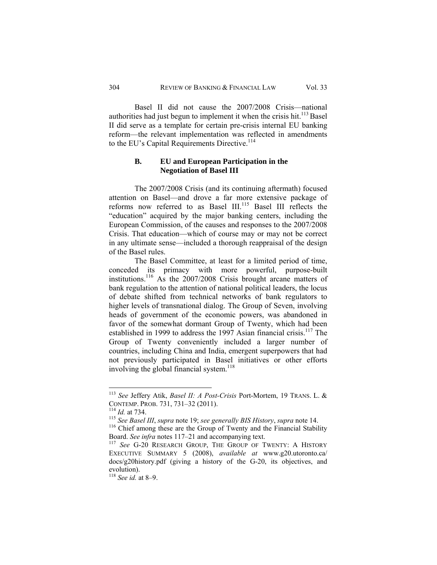Basel II did not cause the 2007/2008 Crisis—national authorities had just begun to implement it when the crisis hit.<sup>113</sup> Basel II did serve as a template for certain pre-crisis internal EU banking reform—the relevant implementation was reflected in amendments to the EU's Capital Requirements Directive.<sup>114</sup>

# **B. EU and European Participation in the Negotiation of Basel III**

The 2007/2008 Crisis (and its continuing aftermath) focused attention on Basel—and drove a far more extensive package of reforms now referred to as Basel III.<sup>115</sup> Basel III reflects the "education" acquired by the major banking centers, including the European Commission, of the causes and responses to the 2007/2008 Crisis. That education—which of course may or may not be correct in any ultimate sense—included a thorough reappraisal of the design of the Basel rules.

The Basel Committee, at least for a limited period of time, conceded its primacy with more powerful, purpose-built institutions.116 As the 2007/2008 Crisis brought arcane matters of bank regulation to the attention of national political leaders, the locus of debate shifted from technical networks of bank regulators to higher levels of transnational dialog. The Group of Seven, involving heads of government of the economic powers, was abandoned in favor of the somewhat dormant Group of Twenty, which had been established in 1999 to address the 1997 Asian financial crisis.<sup>117</sup> The Group of Twenty conveniently included a larger number of countries, including China and India, emergent superpowers that had not previously participated in Basel initiatives or other efforts involving the global financial system.<sup>118</sup>

<sup>113</sup> *See* Jeffery Atik, *Basel II: A Post-Crisis* Port-Mortem, 19 TRANS. L. &

CONTEMP. PROB. 731, 731–32 (2011).<br><sup>114</sup> *Id.* at 734.<br><sup>115</sup> *See Basel III, supra* note 19; *see generally BIS History, supra* note 14.<br><sup>116</sup> Chief among these are the Group of Twenty and the Financial Stability<br>Board.

<sup>&</sup>lt;sup>117</sup> See G-20 RESEARCH GROUP, THE GROUP OF TWENTY: A HISTORY EXECUTIVE SUMMARY 5 (2008), *available at* www.g20.utoronto.ca/ docs/g20history.pdf (giving a history of the G-20, its objectives, and evolution).

<sup>118</sup> *See id.* at 8–9.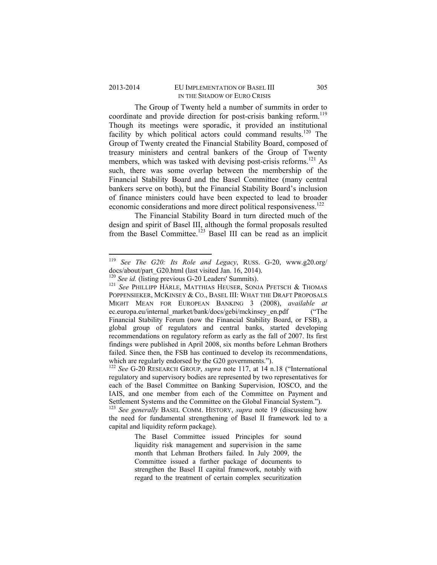## 2013-2014 EU IMPLEMENTATION OF BASEL III 305 IN THE SHADOW OF EURO CRISIS

The Group of Twenty held a number of summits in order to coordinate and provide direction for post-crisis banking reform.<sup>119</sup> Though its meetings were sporadic, it provided an institutional facility by which political actors could command results.<sup>120</sup> The Group of Twenty created the Financial Stability Board, composed of treasury ministers and central bankers of the Group of Twenty members, which was tasked with devising post-crisis reforms.<sup>121</sup> As such, there was some overlap between the membership of the Financial Stability Board and the Basel Committee (many central bankers serve on both), but the Financial Stability Board's inclusion of finance ministers could have been expected to lead to broader economic considerations and more direct political responsiveness.<sup>122</sup>

The Financial Stability Board in turn directed much of the design and spirit of Basel III, although the formal proposals resulted from the Basel Committee.<sup>123</sup> Basel III can be read as an implicit

<sup>119</sup> *See The G20: Its Role and Legacy*, RUSS. G-20, www.g20.org/ docs/about/part\_G20.html (last visited Jan. 16, 2014).<br><sup>120</sup> See id. (listing previous G-20 Leaders' Summits).

<sup>&</sup>lt;sup>121</sup> See PHILLIPP HÄRLE, MATTHIAS HEUSER, SONJA PFETSCH & THOMAS POPPENSIEKER, MCKINSEY & CO., BASEL III: WHAT THE DRAFT PROPOSALS MIGHT MEAN FOR EUROPEAN BANKING 3 (2008), *available at*  ec.europa.eu/internal\_market/bank/docs/gebi/mckinsey\_en.pdf ("The Financial Stability Forum (now the Financial Stability Board, or FSB), a global group of regulators and central banks, started developing recommendations on regulatory reform as early as the fall of 2007. Its first findings were published in April 2008, six months before Lehman Brothers failed. Since then, the FSB has continued to develop its recommendations, which are regularly endorsed by the G20 governments.").<br><sup>122</sup> *See* G-20 RESEARCH GROUP, *supra* note 117, at 14 n.18 ("International

regulatory and supervisory bodies are represented by two representatives for each of the Basel Committee on Banking Supervision, IOSCO, and the IAIS, and one member from each of the Committee on Payment and Settlement Systems and the Committee on the Global Financial System.").

<sup>123</sup> *See generally* BASEL COMM. HISTORY, *supra* note 19 (discussing how the need for fundamental strengthening of Basel II framework led to a capital and liquidity reform package).

The Basel Committee issued Principles for sound liquidity risk management and supervision in the same month that Lehman Brothers failed. In July 2009, the Committee issued a further package of documents to strengthen the Basel II capital framework, notably with regard to the treatment of certain complex securitization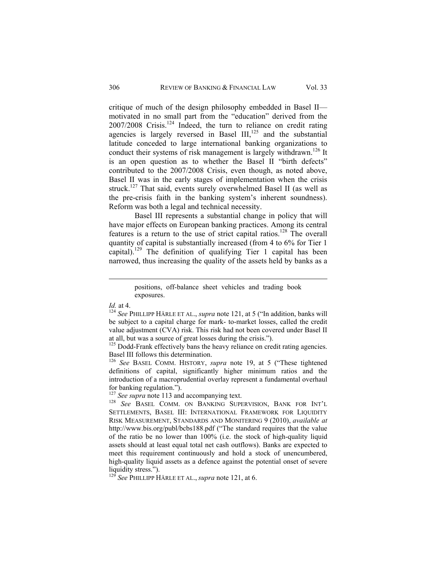critique of much of the design philosophy embedded in Basel II motivated in no small part from the "education" derived from the  $2007/2008$  Crisis.<sup>124</sup> Indeed, the turn to reliance on credit rating agencies is largely reversed in Basel  $III$ ,<sup>125</sup> and the substantial latitude conceded to large international banking organizations to conduct their systems of risk management is largely withdrawn.<sup>126</sup> It is an open question as to whether the Basel II "birth defects" contributed to the 2007/2008 Crisis, even though, as noted above, Basel II was in the early stages of implementation when the crisis struck.<sup>127</sup> That said, events surely overwhelmed Basel II (as well as the pre-crisis faith in the banking system's inherent soundness). Reform was both a legal and technical necessity.

Basel III represents a substantial change in policy that will have major effects on European banking practices. Among its central features is a return to the use of strict capital ratios.<sup>128</sup> The overall quantity of capital is substantially increased (from 4 to 6% for Tier 1 capital).<sup>129</sup> The definition of qualifying Tier 1 capital has been narrowed, thus increasing the quality of the assets held by banks as a

 positions, off-balance sheet vehicles and trading book exposures.

*Id.* at 4.<br><sup>124</sup> *See* PHILLIPP HÄRLE ET AL., *supra* note 121, at 5 ("In addition, banks will be subject to a capital charge for mark- to-market losses, called the credit value adjustment (CVA) risk. This risk had not been covered under Basel II at all, but was a source of great losses during the crisis.").

<sup>&</sup>lt;sup>125</sup> Dodd-Frank effectively bans the heavy reliance on credit rating agencies. Basel III follows this determination.

<sup>126</sup> *See* BASEL COMM. HISTORY, *supra* note 19, at 5 ("These tightened definitions of capital, significantly higher minimum ratios and the introduction of a macroprudential overlay represent a fundamental overhaul for banking regulation.").<br><sup>127</sup> See supra note 113 and accompanying text.

<sup>127</sup> *See supra* note 113 and accompanying text. 128 *See* BASEL COMM. ON BANKING SUPERVISION, BANK FOR INT'L SETTLEMENTS, BASEL III: INTERNATIONAL FRAMEWORK FOR LIQUIDITY RISK MEASUREMENT, STANDARDS AND MONITERING 9 (2010), *available at*  http://www.bis.org/publ/bcbs188.pdf ("The standard requires that the value of the ratio be no lower than 100% (i.e. the stock of high-quality liquid assets should at least equal total net cash outflows). Banks are expected to meet this requirement continuously and hold a stock of unencumbered, high-quality liquid assets as a defence against the potential onset of severe liquidity stress.").

<sup>129</sup> *See* PHILLIPP HÄRLE ET AL., *supra* note 121, at 6.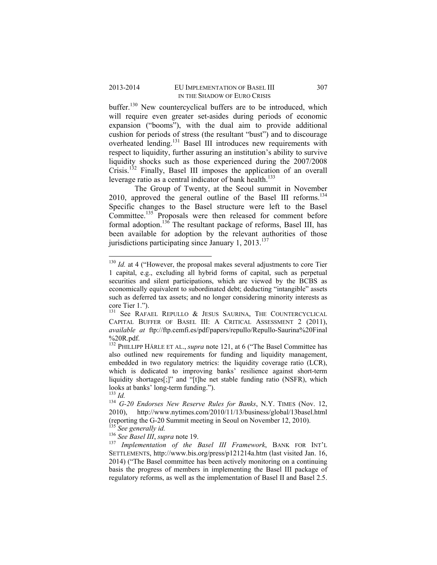buffer.<sup>130</sup> New countercyclical buffers are to be introduced, which will require even greater set-asides during periods of economic expansion ("booms"), with the dual aim to provide additional cushion for periods of stress (the resultant "bust") and to discourage overheated lending.131 Basel III introduces new requirements with respect to liquidity, further assuring an institution's ability to survive liquidity shocks such as those experienced during the 2007/2008 Crisis.132 Finally, Basel III imposes the application of an overall leverage ratio as a central indicator of bank health.<sup>133</sup>

The Group of Twenty, at the Seoul summit in November 2010, approved the general outline of the Basel III reforms.<sup>134</sup> Specific changes to the Basel structure were left to the Basel Committee.<sup>135</sup> Proposals were then released for comment before formal adoption.<sup>136</sup> The resultant package of reforms, Basel III, has been available for adoption by the relevant authorities of those jurisdictions participating since January 1,  $2013$ <sup>137</sup>

 $130$  *Id.* at 4 ("However, the proposal makes several adjustments to core Tier 1 capital, e.g., excluding all hybrid forms of capital, such as perpetual securities and silent participations, which are viewed by the BCBS as economically equivalent to subordinated debt; deducting "intangible" assets such as deferred tax assets; and no longer considering minority interests as core Tier 1.").

<sup>&</sup>lt;sup>131</sup> See RAFAEL REPULLO & JESUS SAURINA, THE COUNTERCYCLICAL CAPITAL BUFFER OF BASEL III: A CRITICAL ASSESSMENT 2 (2011), *available at* ftp://ftp.cemfi.es/pdf/papers/repullo/Repullo-Saurina%20Final %20R.pdf.

<sup>&</sup>lt;sup>132</sup> PHILLIPP HÄRLE ET AL., *supra* note 121, at 6 ("The Basel Committee has also outlined new requirements for funding and liquidity management, embedded in two regulatory metrics: the liquidity coverage ratio (LCR), which is dedicated to improving banks' resilience against short-term liquidity shortages[;]" and "[t]he net stable funding ratio (NSFR), which looks at banks' long-term funding.").<br><sup>133</sup> Id.

<sup>133</sup> *Id.* 134 *G-20 Endorses New Reserve Rules for Banks*, N.Y. TIMES (Nov. 12, 2010), http://www.nytimes.com/2010/11/13/business/global/13basel.html (reporting the G-20 Summit meeting in Seoul on November 12, 2010).

<sup>&</sup>lt;sup>136</sup> *See Basel III*, *supra* note 19.<br><sup>137</sup> *Implementation of the Basel III Framework*, BANK FOR INT'L SETTLEMENTS, http://www.bis.org/press/p121214a.htm (last visited Jan. 16, 2014) ("The Basel committee has been actively monitoring on a continuing basis the progress of members in implementing the Basel III package of regulatory reforms, as well as the implementation of Basel II and Basel 2.5.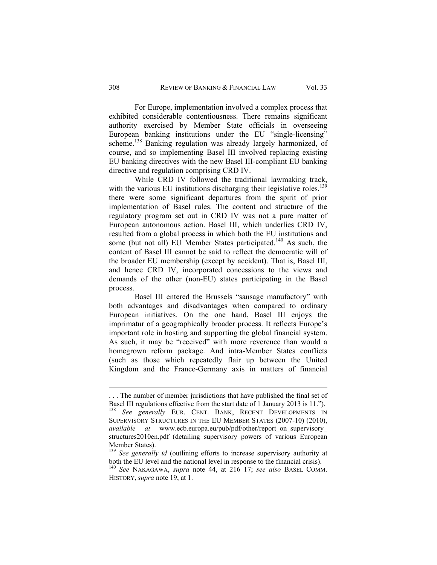For Europe, implementation involved a complex process that exhibited considerable contentiousness. There remains significant authority exercised by Member State officials in overseeing European banking institutions under the EU "single-licensing" scheme.<sup>138</sup> Banking regulation was already largely harmonized, of course, and so implementing Basel III involved replacing existing EU banking directives with the new Basel III-compliant EU banking directive and regulation comprising CRD IV.

While CRD IV followed the traditional lawmaking track, with the various EU institutions discharging their legislative roles,  $^{139}$ there were some significant departures from the spirit of prior implementation of Basel rules. The content and structure of the regulatory program set out in CRD IV was not a pure matter of European autonomous action. Basel III, which underlies CRD IV, resulted from a global process in which both the EU institutions and some (but not all) EU Member States participated.<sup>140</sup> As such, the content of Basel III cannot be said to reflect the democratic will of the broader EU membership (except by accident). That is, Basel III, and hence CRD IV, incorporated concessions to the views and demands of the other (non-EU) states participating in the Basel process.

Basel III entered the Brussels "sausage manufactory" with both advantages and disadvantages when compared to ordinary European initiatives. On the one hand, Basel III enjoys the imprimatur of a geographically broader process. It reflects Europe's important role in hosting and supporting the global financial system. As such, it may be "received" with more reverence than would a homegrown reform package. And intra-Member States conflicts (such as those which repeatedly flair up between the United Kingdom and the France-Germany axis in matters of financial

<sup>. . .</sup> The number of member jurisdictions that have published the final set of Basel III regulations effective from the start date of 1 January 2013 is 11.").<br><sup>138</sup> *See generally* EUR. CENT. BANK, RECENT DEVELOPMENTS IN SUPERVISORY STRUCTURES IN THE EU MEMBER STATES (2007-10) (2010), *available at* www.ecb.europa.eu/pub/pdf/other/report\_on\_supervisory\_ structures2010en.pdf (detailing supervisory powers of various European Member States).

<sup>&</sup>lt;sup>139</sup> See generally id (outlining efforts to increase supervisory authority at both the EU level and the national level in response to the financial crisis).

<sup>&</sup>lt;sup>140</sup> See NAKAGAWA, *supra* note 44, at 216–17; *see also* BASEL COMM. HISTORY, *supra* note 19, at 1.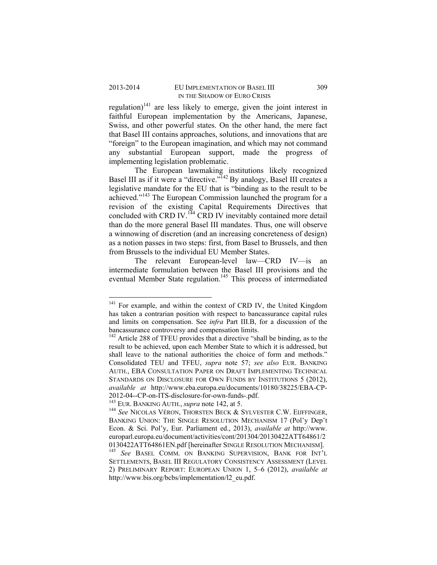regulation) $141$  are less likely to emerge, given the joint interest in faithful European implementation by the Americans, Japanese, Swiss, and other powerful states. On the other hand, the mere fact that Basel III contains approaches, solutions, and innovations that are "foreign" to the European imagination, and which may not command any substantial European support, made the progress of implementing legislation problematic.

The European lawmaking institutions likely recognized Basel III as if it were a "directive."<sup>142</sup> By analogy, Basel III creates a legislative mandate for the EU that is "binding as to the result to be achieved."143 The European Commission launched the program for a revision of the existing Capital Requirements Directives that concluded with CRD IV.<sup>144</sup> CRD IV inevitably contained more detail than do the more general Basel III mandates. Thus, one will observe a winnowing of discretion (and an increasing concreteness of design) as a notion passes in two steps: first, from Basel to Brussels, and then from Brussels to the individual EU Member States.

The relevant European-level law—CRD IV—is an intermediate formulation between the Basel III provisions and the eventual Member State regulation.<sup>145</sup> This process of intermediated

<sup>&</sup>lt;sup>141</sup> For example, and within the context of CRD IV, the United Kingdom has taken a contrarian position with respect to bancassurance capital rules and limits on compensation. See *infra* Part III.B, for a discussion of the bancassurance controversy and compensation limits.

 $142$  Article 288 of TFEU provides that a directive "shall be binding, as to the result to be achieved, upon each Member State to which it is addressed, but shall leave to the national authorities the choice of form and methods." Consolidated TEU and TFEU, *supra* note 57; *see also* EUR. BANKING AUTH., EBA CONSULTATION PAPER ON DRAFT IMPLEMENTING TECHNICAL STANDARDS ON DISCLOSURE FOR OWN FUNDS BY INSTITUTIONS 5 (2012), *available at* http://www.eba.europa.eu/documents/10180/38225/EBA-CP-2012-04--CP-on-ITS-disclosure-for-own-funds-.pdf.<br><sup>143</sup> EUR. BANKING AUTH., *supra* note 142, at 5.

<sup>&</sup>lt;sup>144</sup> See NICOLAS VÉRON, THORSTEN BECK & SYLVESTER C.W. EIJFFINGER, BANKING UNION: THE SINGLE RESOLUTION MECHANISM 17 (Pol'y Dep't Econ. & Sci. Pol'y, Eur. Parliament ed., 2013), *available at* http://www. europarl.europa.eu/document/activities/cont/201304/20130422ATT64861/2<br>0130422ATT64861EN.pdf [hereinafter SINGLE RESOLUTION MECHANISM]. <sup>145</sup> See BASEL COMM. ON BANKING SUPERVISION, BANK FOR INT'L

SETTLEMENTS, BASEL III REGULATORY CONSISTENCY ASSESSMENT (LEVEL 2) PRELIMINARY REPORT: EUROPEAN UNION 1, 5–6 (2012), *available at*  http://www.bis.org/bcbs/implementation/l2\_eu.pdf.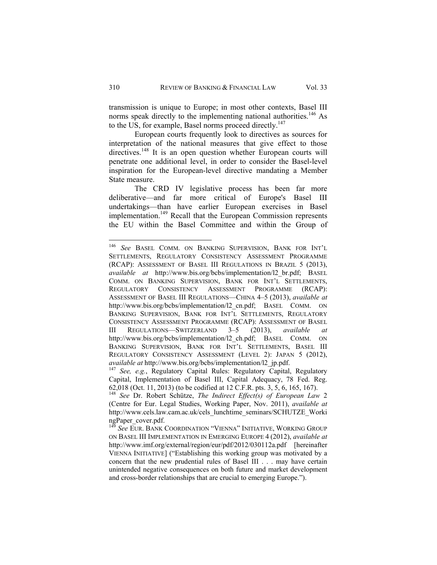transmission is unique to Europe; in most other contexts, Basel III norms speak directly to the implementing national authorities.<sup>146</sup> As to the US, for example, Basel norms proceed directly.<sup>147</sup>

European courts frequently look to directives as sources for interpretation of the national measures that give effect to those directives.<sup>148</sup> It is an open question whether European courts will penetrate one additional level, in order to consider the Basel-level inspiration for the European-level directive mandating a Member State measure.

The CRD IV legislative process has been far more deliberative—and far more critical of Europe's Basel III undertakings—than have earlier European exercises in Basel implementation.<sup>149</sup> Recall that the European Commission represents the EU within the Basel Committee and within the Group of

<sup>146</sup> *See* BASEL COMM. ON BANKING SUPERVISION, BANK FOR INT'L SETTLEMENTS, REGULATORY CONSISTENCY ASSESSMENT PROGRAMME (RCAP): ASSESSMENT OF BASEL III REGULATIONS IN BRAZIL 5 (2013), *available at* http://www.bis.org/bcbs/implementation/l2\_br.pdf; BASEL COMM. ON BANKING SUPERVISION, BANK FOR INT'L SETTLEMENTS, REGULATORY CONSISTENCY ASSESSMENT PROGRAMME (RCAP): ASSESSMENT OF BASEL III REGULATIONS—CHINA 4–5 (2013), *available at*  http://www.bis.org/bcbs/implementation/l2\_cn.pdf; BASEL COMM. ON BANKING SUPERVISION, BANK FOR INT'L SETTLEMENTS, REGULATORY CONSISTENCY ASSESSMENT PROGRAMME (RCAP): ASSESSMENT OF BASEL III REGULATIONS—SWITZERLAND 3–5 (2013), *available at*  http://www.bis.org/bcbs/implementation/l2\_ch.pdf; BASEL COMM. ON BANKING SUPERVISION, BANK FOR INT'L SETTLEMENTS, BASEL III REGULATORY CONSISTENCY ASSESSMENT (LEVEL 2): JAPAN 5 (2012), *available at* http://www.bis.org/bcbs/implementation/l2\_jp.pdf. 147 *See, e.g.*, Regulatory Capital Rules: Regulatory Capital, Regulatory

Capital, Implementation of Basel III, Capital Adequacy, 78 Fed. Reg. 62,018 (Oct. 11, 2013) (to be codified at 12 C.F.R. pts. 3, 5, 6, 165, 167). 148 *See* Dr. Robert Schütze, *The Indirect Effect(s) of European Law* <sup>2</sup>

<sup>(</sup>Centre for Eur. Legal Studies, Working Paper, Nov. 2011), *available at* http://www.cels.law.cam.ac.uk/cels\_lunchtime\_seminars/SCHUTZE\_Worki ngPaper\_cover.pdf.

<sup>149</sup> *See* EUR. BANK COORDINATION "VIENNA" INITIATIVE, WORKING GROUP ON BASEL III IMPLEMENTATION IN EMERGING EUROPE 4 (2012), *available at* http://www.imf.org/external/region/eur/pdf/2012/030112a.pdf [hereinafter VIENNA INITIATIVE] ("Establishing this working group was motivated by a concern that the new prudential rules of Basel III . . . may have certain unintended negative consequences on both future and market development and cross-border relationships that are crucial to emerging Europe.").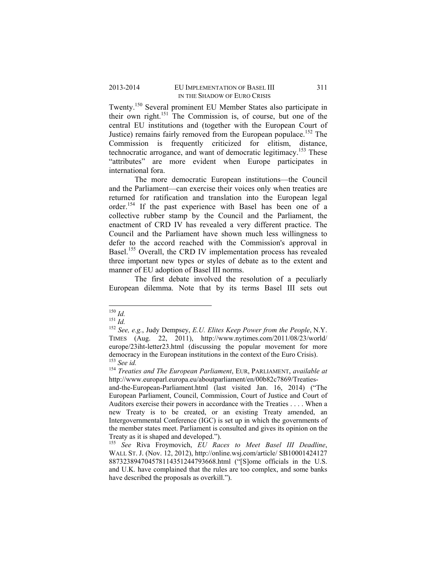Twenty.150 Several prominent EU Member States also participate in their own right.<sup>151</sup> The Commission is, of course, but one of the central EU institutions and (together with the European Court of Justice) remains fairly removed from the European populace.<sup>152</sup> The Commission is frequently criticized for elitism, distance, technocratic arrogance, and want of democratic legitimacy.<sup>153</sup> These "attributes" are more evident when Europe participates in international fora.

 The more democratic European institutions—the Council and the Parliament—can exercise their voices only when treaties are returned for ratification and translation into the European legal order.154 If the past experience with Basel has been one of a collective rubber stamp by the Council and the Parliament, the enactment of CRD IV has revealed a very different practice. The Council and the Parliament have shown much less willingness to defer to the accord reached with the Commission's approval in Basel.<sup>155</sup> Overall, the CRD IV implementation process has revealed three important new types or styles of debate as to the extent and manner of EU adoption of Basel III norms.

The first debate involved the resolution of a peculiarly European dilemma. Note that by its terms Basel III sets out

<sup>&</sup>lt;sup>150</sup> *Id.*<br><sup>151</sup> *Id.* <sup>151</sup> *Id.* e.g., Judy Dempsey, *E.U. Elites Keep Power from the People*, N.Y. TIMES (Aug. 22, 2011), http://www.nytimes.com/2011/08/23/world/ europe/23iht-letter23.html (discussing the popular movement for more democracy in the European institutions in the context of the Euro Crisis).<br><sup>153</sup> See id.

<sup>&</sup>lt;sup>154</sup> *Treaties and The European Parliament*, EUR, PARLIAMENT, *available at* http://www.europarl.europa.eu/aboutparliament/en/00b82c7869/Treaties-

and-the-European-Parliament.html (last visited Jan. 16, 2014) ("The European Parliament, Council, Commission, Court of Justice and Court of Auditors exercise their powers in accordance with the Treaties . . . . When a new Treaty is to be created, or an existing Treaty amended, an Intergovernmental Conference (IGC) is set up in which the governments of the member states meet. Parliament is consulted and gives its opinion on the Treaty as it is shaped and developed.").

<sup>155</sup> *See* Riva Froymovich, *EU Races to Meet Basel III Deadline*, WALL ST. J. (Nov. 12, 2012), http://online.wsj.com/article/ SB10001424127 887323894704578114351244793668.html ("[S]ome officials in the U.S. and U.K. have complained that the rules are too complex, and some banks have described the proposals as overkill.").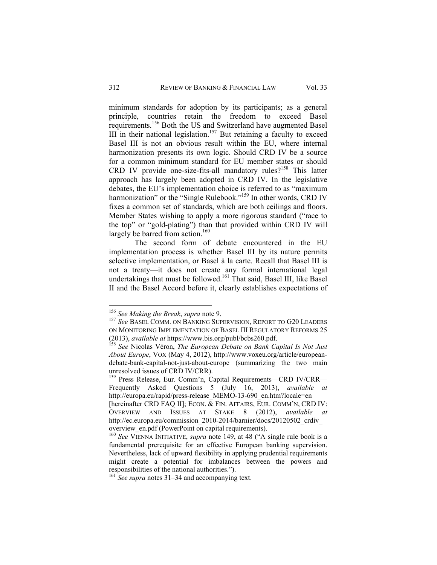minimum standards for adoption by its participants; as a general principle, countries retain the freedom to exceed Basel requirements.156 Both the US and Switzerland have augmented Basel III in their national legislation.<sup>157</sup> But retaining a faculty to exceed Basel III is not an obvious result within the EU, where internal harmonization presents its own logic. Should CRD IV be a source for a common minimum standard for EU member states or should CRD IV provide one-size-fits-all mandatory rules?<sup>158</sup> This latter approach has largely been adopted in CRD IV. In the legislative debates, the EU's implementation choice is referred to as "maximum harmonization" or the "Single Rulebook."<sup>159</sup> In other words, CRD IV fixes a common set of standards, which are both ceilings and floors. Member States wishing to apply a more rigorous standard ("race to the top" or "gold-plating") than that provided within CRD IV will largely be barred from action.<sup>160</sup>

 The second form of debate encountered in the EU implementation process is whether Basel III by its nature permits selective implementation, or Basel à la carte. Recall that Basel III is not a treaty—it does not create any formal international legal undertakings that must be followed.161 That said, Basel III, like Basel II and the Basel Accord before it, clearly establishes expectations of

<sup>&</sup>lt;sup>156</sup> *See Making the Break*, *supra* note 9.<br><sup>157</sup> *See* BASEL COMM. ON BANKING SUPERVISION, REPORT TO G20 LEADERS ON MONITORING IMPLEMENTATION OF BASEL III REGULATORY REFORMS 25 (2013), *available at* https://www.bis.org/publ/bcbs260.pdf. 158 *See* Nicolas Véron, *The European Debate on Bank Capital Is Not Just* 

*About Europe*, VOX (May 4, 2012), http://www.voxeu.org/article/europeandebate-bank-capital-not-just-about-europe (summarizing the two main unresolved issues of CRD IV/CRR).

<sup>159</sup> Press Release, Eur. Comm'n, Capital Requirements—CRD IV/CRR— Frequently Asked Questions 5 (July 16, 2013), *available at*  http://europa.eu/rapid/press-release\_MEMO-13-690\_en.htm?locale=en [hereinafter CRD FAQ II]; ECON. & FIN. AFFAIRS, EUR. COMM'N, CRD IV: OVERVIEW AND ISSUES AT STAKE 8 (2012), *available at* http://ec.europa.eu/commission\_2010-2014/barnier/docs/20120502\_crdiv overview\_en.pdf (PowerPoint on capital requirements).

<sup>&</sup>lt;sup>160</sup> See VIENNA INITIATIVE, *supra* note 149, at 48 ("A single rule book is a fundamental prerequisite for an effective European banking supervision. Nevertheless, lack of upward flexibility in applying prudential requirements might create a potential for imbalances between the powers and responsibilities of the national authorities.").

<sup>&</sup>lt;sup>161</sup> *See supra* notes 31–34 and accompanying text.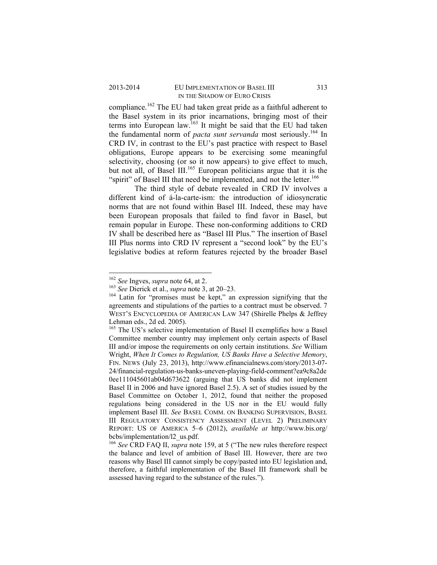## 2013-2014 EU IMPLEMENTATION OF BASEL III 313 IN THE SHADOW OF EURO CRISIS

compliance.<sup>162</sup> The EU had taken great pride as a faithful adherent to the Basel system in its prior incarnations, bringing most of their terms into European law.<sup>163</sup> It might be said that the EU had taken the fundamental norm of *pacta sunt servanda* most seriously.164 In CRD IV, in contrast to the EU's past practice with respect to Basel obligations, Europe appears to be exercising some meaningful selectivity, choosing (or so it now appears) to give effect to much, but not all, of Basel III.<sup>165</sup> European politicians argue that it is the "spirit" of Basel III that need be implemented, and not the letter.<sup>166</sup>

 The third style of debate revealed in CRD IV involves a different kind of á-la-carte-ism: the introduction of idiosyncratic norms that are not found within Basel III. Indeed, these may have been European proposals that failed to find favor in Basel, but remain popular in Europe. These non-conforming additions to CRD IV shall be described here as "Basel III Plus." The insertion of Basel III Plus norms into CRD IV represent a "second look" by the EU's legislative bodies at reform features rejected by the broader Basel

 $162$  See Ingves, *supra* note 64, at 2.

<sup>&</sup>lt;sup>163</sup> *See* Dierick et al., *supra* note 3, at 20–23.<br><sup>164</sup> Latin for "promises must be kept," an expression signifying that the agreements and stipulations of the parties to a contract must be observed. 7 WEST'S ENCYCLOPEDIA OF AMERICAN LAW 347 (Shirelle Phelps & Jeffrey Lehman eds., 2d ed. 2005).

<sup>&</sup>lt;sup>165</sup> The US's selective implementation of Basel II exemplifies how a Basel Committee member country may implement only certain aspects of Basel III and/or impose the requirements on only certain institutions. *See* William Wright, *When It Comes to Regulation, US Banks Have a Selective Memory*, FIN. NEWS (July 23, 2013), http://www.efinancialnews.com/story/2013-07- 24/financial-regulation-us-banks-uneven-playing-field-comment?ea9c8a2de 0ee111045601ab04d673622 (arguing that US banks did not implement Basel II in 2006 and have ignored Basel 2.5). A set of studies issued by the Basel Committee on October 1, 2012, found that neither the proposed regulations being considered in the US nor in the EU would fully implement Basel III. *See* BASEL COMM. ON BANKING SUPERVISION, BASEL III REGULATORY CONSISTENCY ASSESSMENT (LEVEL 2) PRELIMINARY REPORT: US OF AMERICA 5–6 (2012), *available at* http://www.bis.org/ bcbs/implementation/l2\_us.pdf.

<sup>166</sup> *See* CRD FAQ II, *supra* note 159, at 5 ("The new rules therefore respect the balance and level of ambition of Basel III. However, there are two reasons why Basel III cannot simply be copy/pasted into EU legislation and, therefore, a faithful implementation of the Basel III framework shall be assessed having regard to the substance of the rules.").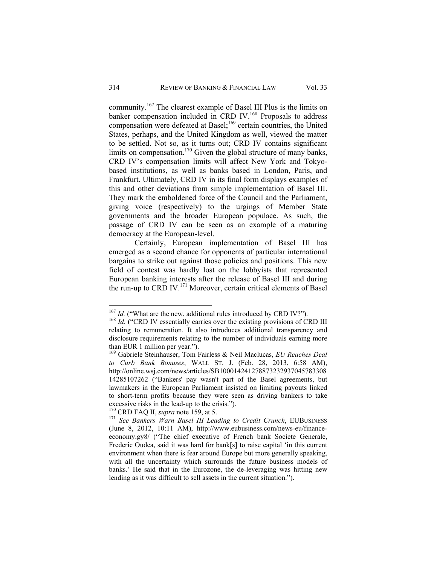community.167 The clearest example of Basel III Plus is the limits on banker compensation included in CRD IV.<sup>168</sup> Proposals to address compensation were defeated at Basel;<sup>169</sup> certain countries, the United States, perhaps, and the United Kingdom as well, viewed the matter to be settled. Not so, as it turns out; CRD IV contains significant limits on compensation.<sup>170</sup> Given the global structure of many banks, CRD IV's compensation limits will affect New York and Tokyobased institutions, as well as banks based in London, Paris, and Frankfurt. Ultimately, CRD IV in its final form displays examples of this and other deviations from simple implementation of Basel III. They mark the emboldened force of the Council and the Parliament, giving voice (respectively) to the urgings of Member State governments and the broader European populace. As such, the passage of CRD IV can be seen as an example of a maturing democracy at the European-level.

 Certainly, European implementation of Basel III has emerged as a second chance for opponents of particular international bargains to strike out against those policies and positions. This new field of contest was hardly lost on the lobbyists that represented European banking interests after the release of Basel III and during the run-up to CRD IV.<sup>171</sup> Moreover, certain critical elements of Basel

<sup>&</sup>lt;sup>167</sup> *Id.* ("What are the new, additional rules introduced by CRD IV?"). <sup>168</sup> *Id.* ("CRD IV essentially carries over the existing provisions of CRD III

relating to remuneration. It also introduces additional transparency and disclosure requirements relating to the number of individuals earning more than EUR 1 million per year.").

<sup>169</sup> Gabriele Steinhauser, Tom Fairless & Neil Maclucas, *EU Reaches Deal to Curb Bank Bonuses*, WALL ST. J. (Feb. 28, 2013, 6:58 AM), http://online.wsj.com/news/articles/SB100014241278873232937045783308 14285107262 ("Bankers' pay wasn't part of the Basel agreements, but lawmakers in the European Parliament insisted on limiting payouts linked to short-term profits because they were seen as driving bankers to take excessive risks in the lead-up to the crisis.").<br><sup>170</sup> CRD FAQ II, *supra* note 159, at 5.

<sup>&</sup>lt;sup>171</sup> See Bankers Warn Basel III Leading to Credit Crunch, EUBUSINESS (June 8, 2012, 10:11 AM), http://www.eubusiness.com/news-eu/financeeconomy.gy8/ ("The chief executive of French bank Societe Generale, Frederic Oudea, said it was hard for bank[s] to raise capital 'in this current environment when there is fear around Europe but more generally speaking, with all the uncertainty which surrounds the future business models of banks.' He said that in the Eurozone, the de-leveraging was hitting new lending as it was difficult to sell assets in the current situation.").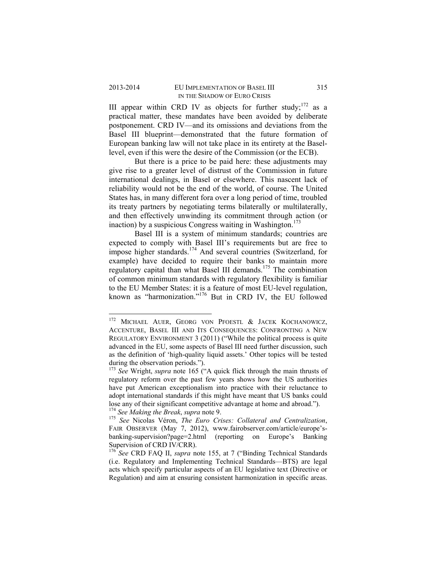III appear within CRD IV as objects for further study;<sup>172</sup> as a practical matter, these mandates have been avoided by deliberate postponement. CRD IV—and its omissions and deviations from the Basel III blueprint—demonstrated that the future formation of European banking law will not take place in its entirety at the Basellevel, even if this were the desire of the Commission (or the ECB).

 But there is a price to be paid here: these adjustments may give rise to a greater level of distrust of the Commission in future international dealings, in Basel or elsewhere. This nascent lack of reliability would not be the end of the world, of course. The United States has, in many different fora over a long period of time, troubled its treaty partners by negotiating terms bilaterally or multilaterally, and then effectively unwinding its commitment through action (or inaction) by a suspicious Congress waiting in Washington.<sup>173</sup>

Basel III is a system of minimum standards; countries are expected to comply with Basel III's requirements but are free to impose higher standards.<sup>174</sup> And several countries (Switzerland, for example) have decided to require their banks to maintain more regulatory capital than what Basel III demands.175 The combination of common minimum standards with regulatory flexibility is familiar to the EU Member States: it is a feature of most EU-level regulation, known as "harmonization."<sup>176</sup> But in CRD IV, the EU followed

<sup>&</sup>lt;sup>172</sup> MICHAEL AUER, GEORG VON PFOESTL & JACEK KOCHANOWICZ, ACCENTURE, BASEL III AND ITS CONSEQUENCES: CONFRONTING A NEW REGULATORY ENVIRONMENT 3 (2011) ("While the political process is quite advanced in the EU, some aspects of Basel III need further discussion, such as the definition of 'high-quality liquid assets.' Other topics will be tested during the observation periods.").

<sup>173</sup> *See* Wright, *supra* note 165 ("A quick flick through the main thrusts of regulatory reform over the past few years shows how the US authorities have put American exceptionalism into practice with their reluctance to adopt international standards if this might have meant that US banks could lose any of their significant competitive advantage at home and abroad.").<br><sup>174</sup> See Making the Break, supra note 9.

<sup>&</sup>lt;sup>175</sup> See Nicolas Véron, *The Euro Crises: Collateral and Centralization*, FAIR OBSERVER (May 7, 2012), www.fairobserver.com/article/europe'sbanking-supervision?page=2.html (reporting on Europe's Banking Supervision of CRD IV/CRR).

<sup>&</sup>lt;sup>176</sup> See CRD FAQ II, *supra* note 155, at 7 ("Binding Technical Standards" (i.e. Regulatory and Implementing Technical Standards—BTS) are legal acts which specify particular aspects of an EU legislative text (Directive or Regulation) and aim at ensuring consistent harmonization in specific areas.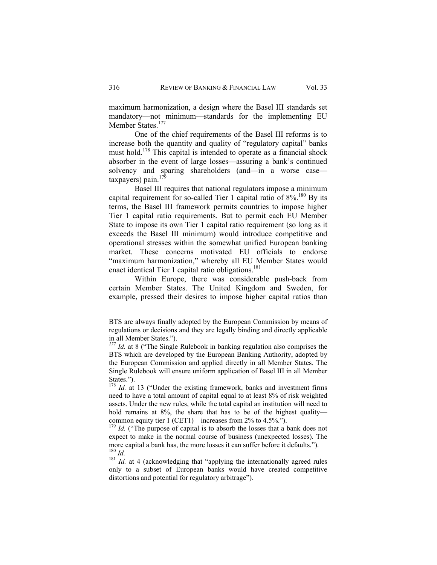maximum harmonization, a design where the Basel III standards set mandatory—not minimum—standards for the implementing EU Member States.<sup>177</sup>

One of the chief requirements of the Basel III reforms is to increase both the quantity and quality of "regulatory capital" banks must hold.<sup>178</sup> This capital is intended to operate as a financial shock absorber in the event of large losses—assuring a bank's continued solvency and sparing shareholders (and—in a worse case taxpayers) pain. $17$ 

Basel III requires that national regulators impose a minimum capital requirement for so-called Tier 1 capital ratio of  $8\%$ <sup>180</sup> By its terms, the Basel III framework permits countries to impose higher Tier 1 capital ratio requirements. But to permit each EU Member State to impose its own Tier 1 capital ratio requirement (so long as it exceeds the Basel III minimum) would introduce competitive and operational stresses within the somewhat unified European banking market. These concerns motivated EU officials to endorse "maximum harmonization," whereby all EU Member States would enact identical Tier 1 capital ratio obligations.<sup>181</sup>

Within Europe, there was considerable push-back from certain Member States. The United Kingdom and Sweden, for example, pressed their desires to impose higher capital ratios than

BTS are always finally adopted by the European Commission by means of regulations or decisions and they are legally binding and directly applicable in all Member States.").

*<sup>177</sup> Id.* at 8 ("The Single Rulebook in banking regulation also comprises the BTS which are developed by the European Banking Authority, adopted by the European Commission and applied directly in all Member States. The Single Rulebook will ensure uniform application of Basel III in all Member States.").

<sup>&</sup>lt;sup>178</sup> *Id.* at 13 ("Under the existing framework, banks and investment firms need to have a total amount of capital equal to at least 8% of risk weighted assets. Under the new rules, while the total capital an institution will need to hold remains at 8%, the share that has to be of the highest quality common equity tier 1 (CET1)—increases from 2% to 4.5%.").

<sup>&</sup>lt;sup>179</sup> *Id.* ("The purpose of capital is to absorb the losses that a bank does not expect to make in the normal course of business (unexpected losses). The more capital a bank has, the more losses it can suffer before it defaults.").  $^{180}$  *Id.* 

<sup>&</sup>lt;sup>181</sup> *Id.* at 4 (acknowledging that "applying the internationally agreed rules only to a subset of European banks would have created competitive distortions and potential for regulatory arbitrage").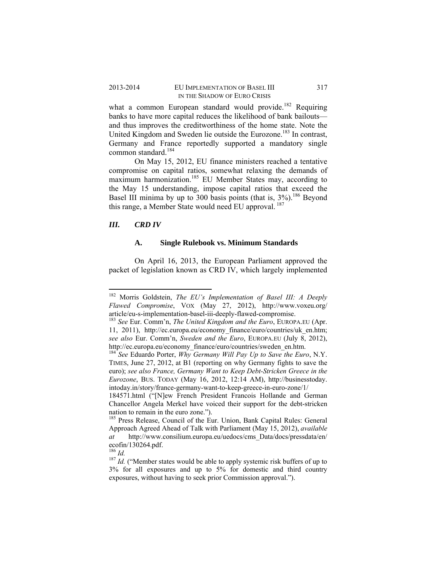#### 2013-2014 EU IMPLEMENTATION OF BASEL III 317 IN THE SHADOW OF EURO CRISIS

what a common European standard would provide.<sup>182</sup> Requiring banks to have more capital reduces the likelihood of bank bailouts and thus improves the creditworthiness of the home state. Note the United Kingdom and Sweden lie outside the Eurozone.<sup>183</sup> In contrast, Germany and France reportedly supported a mandatory single common standard.<sup>184</sup>

On May 15, 2012, EU finance ministers reached a tentative compromise on capital ratios, somewhat relaxing the demands of maximum harmonization.<sup>185</sup> EU Member States may, according to the May 15 understanding, impose capital ratios that exceed the Basel III minima by up to  $300$  basis points (that is,  $3\%$ ).<sup>186</sup> Beyond this range, a Member State would need EU approval.<sup>187</sup>

# *III. CRD IV*

## **A. Single Rulebook vs. Minimum Standards**

On April 16, 2013, the European Parliament approved the packet of legislation known as CRD IV, which largely implemented

<sup>182</sup> Morris Goldstein, *The EU's Implementation of Basel III: A Deeply Flawed Compromise*, VOX (May 27, 2012), http://www.voxeu.org/

<sup>&</sup>lt;sup>183</sup> See Eur. Comm'n, *The United Kingdom and the Euro*, EUROPA.EU (Apr. 11, 2011), http://ec.europa.eu/economy\_finance/euro/countries/uk\_en.htm; *see also* Eur. Comm'n, *Sweden and the Euro*, EUROPA.EU (July 8, 2012), http://ec.europa.eu/economy\_finance/euro/countries/sweden\_en.htm.

<sup>184</sup> *See* Eduardo Porter, *Why Germany Will Pay Up to Save the Euro*, N.Y. TIMES, June 27, 2012, at B1 (reporting on why Germany fights to save the euro); *see also France, Germany Want to Keep Debt-Stricken Greece in the Eurozone*, BUS. TODAY (May 16, 2012, 12:14 AM), http://businesstoday. intoday.in/story/france-germany-want-to-keep-greece-in-euro-zone/1/

<sup>184571.</sup>html ("[N]ew French President Francois Hollande and German Chancellor Angela Merkel have voiced their support for the debt-stricken nation to remain in the euro zone.").

<sup>&</sup>lt;sup>185</sup> Press Release, Council of the Eur. Union, Bank Capital Rules: General Approach Agreed Ahead of Talk with Parliament (May 15, 2012), *available at* http://www.consilium.europa.eu/uedocs/cms\_Data/docs/pressdata/en/ ecofin/130264.pdf.<br> $^{186}$  *Id.* 

<sup>&</sup>lt;sup>187</sup> *Id.* ("Member states would be able to apply systemic risk buffers of up to 3% for all exposures and up to 5% for domestic and third country exposures, without having to seek prior Commission approval.").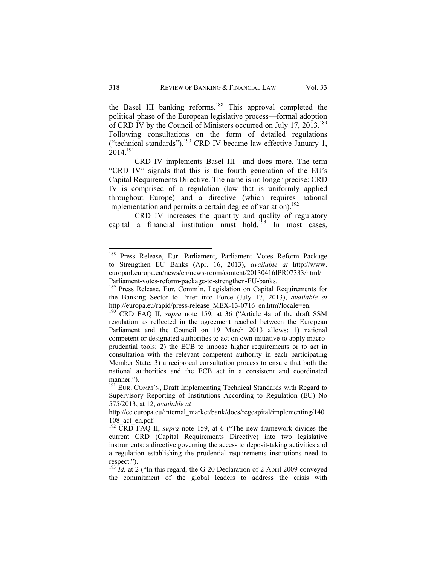the Basel III banking reforms.<sup>188</sup> This approval completed the political phase of the European legislative process—formal adoption of CRD IV by the Council of Ministers occurred on July 17, 2013.<sup>189</sup> Following consultations on the form of detailed regulations ("technical standards"), $^{190}$  CRD IV became law effective January 1,  $2014.<sup>191</sup>$ 

CRD IV implements Basel III—and does more. The term "CRD IV" signals that this is the fourth generation of the EU's Capital Requirements Directive. The name is no longer precise: CRD IV is comprised of a regulation (law that is uniformly applied throughout Europe) and a directive (which requires national implementation and permits a certain degree of variation).<sup>192</sup>

CRD IV increases the quantity and quality of regulatory capital a financial institution must hold.<sup>193</sup> In most cases,

<sup>&</sup>lt;sup>188</sup> Press Release, Eur. Parliament, Parliament Votes Reform Package to Strengthen EU Banks (Apr. 16, 2013), *available at* http://www. europarl.europa.eu/news/en/news-room/content/20130416IPR07333/html/ Parliament-votes-reform-package-to-strengthen-EU-banks.

<sup>&</sup>lt;sup>189</sup> Press Release, Eur. Comm'n, Legislation on Capital Requirements for the Banking Sector to Enter into Force (July 17, 2013), *available at*  http://europa.eu/rapid/press-release\_MEX-13-0716\_en.htm?locale=en. 190 CRD FAQ II, *supra* note 159, at 36 ("Article 4a of the draft SSM

regulation as reflected in the agreement reached between the European Parliament and the Council on 19 March 2013 allows: 1) national competent or designated authorities to act on own initiative to apply macroprudential tools; 2) the ECB to impose higher requirements or to act in consultation with the relevant competent authority in each participating Member State; 3) a reciprocal consultation process to ensure that both the national authorities and the ECB act in a consistent and coordinated manner.").

<sup>&</sup>lt;sup>191</sup> EUR. COMM'N, Draft Implementing Technical Standards with Regard to Supervisory Reporting of Institutions According to Regulation (EU) No 575/2013, at 12, *available at* 

http://ec.europa.eu/internal\_market/bank/docs/regcapital/implementing/140 108 act en.pdf.

<sup>&</sup>lt;sup>192</sup> CRD FAQ II, *supra* note 159, at 6 ("The new framework divides the current CRD (Capital Requirements Directive) into two legislative instruments: a directive governing the access to deposit-taking activities and a regulation establishing the prudential requirements institutions need to respect.").

<sup>&</sup>lt;sup>193</sup> *Id.* at 2 ("In this regard, the G-20 Declaration of 2 April 2009 conveyed the commitment of the global leaders to address the crisis with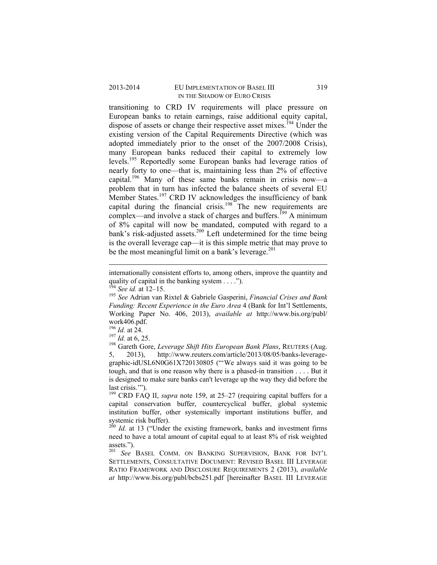## 2013-2014 EU IMPLEMENTATION OF BASEL III 319 IN THE SHADOW OF EURO CRISIS

transitioning to CRD IV requirements will place pressure on European banks to retain earnings, raise additional equity capital, dispose of assets or change their respective asset mixes.<sup>194</sup> Under the existing version of the Capital Requirements Directive (which was adopted immediately prior to the onset of the 2007/2008 Crisis), many European banks reduced their capital to extremely low levels.195 Reportedly some European banks had leverage ratios of nearly forty to one—that is, maintaining less than 2% of effective capital.<sup>196</sup> Many of these same banks remain in crisis now—a problem that in turn has infected the balance sheets of several EU Member States.<sup>197</sup> CRD IV acknowledges the insufficiency of bank capital during the financial crisis.<sup>198</sup> The new requirements are complex—and involve a stack of charges and buffers.<sup>199</sup> A minimum of 8% capital will now be mandated, computed with regard to a bank's risk-adjusted assets.<sup>200</sup> Left undetermined for the time being is the overall leverage cap—it is this simple metric that may prove to be the most meaningful limit on a bank's leverage. $^{201}$ 

 internationally consistent efforts to, among others, improve the quantity and quality of capital in the banking system . . . .").<br><sup>194</sup> See id. at 12–15.

<sup>&</sup>lt;sup>195</sup> See Adrian van Rixtel & Gabriele Gasperini, *Financial Crises and Bank Funding: Recent Experience in the Euro Area* 4 (Bank for Int'l Settlements, Working Paper No. 406, 2013), *available at* http://www.bis.org/publ/ work406.pdf.<br> $^{196}$  *Id.* at 24.

<sup>&</sup>lt;sup>197</sup> *Id.* at 6, 25.<br><sup>198</sup> Gareth Gore, *Leverage Shift Hits European Bank Plans*, REUTERS (Aug. 5, 2013), http://www.reuters.com/article/2013/08/05/banks-leveragegraphic-idUSL6N0G61X720130805 ("'We always said it was going to be tough, and that is one reason why there is a phased-in transition . . . . But it is designed to make sure banks can't leverage up the way they did before the last crisis.'").

<sup>&</sup>lt;sup>199</sup> CRD FAQ II, *supra* note 159, at 25–27 (requiring capital buffers for a capital conservation buffer, countercyclical buffer, global systemic institution buffer, other systemically important institutions buffer, and systemic risk buffer).

 $^{200}$  *Id.* at 13 ("Under the existing framework, banks and investment firms need to have a total amount of capital equal to at least 8% of risk weighted assets.").

<sup>201</sup> *See* BASEL COMM. ON BANKING SUPERVISION, BANK FOR INT'L SETTLEMENTS, CONSULTATIVE DOCUMENT: REVISED BASEL III LEVERAGE RATIO FRAMEWORK AND DISCLOSURE REQUIREMENTS 2 (2013), *available at* http://www.bis.org/publ/bcbs251.pdf [hereinafter BASEL III LEVERAGE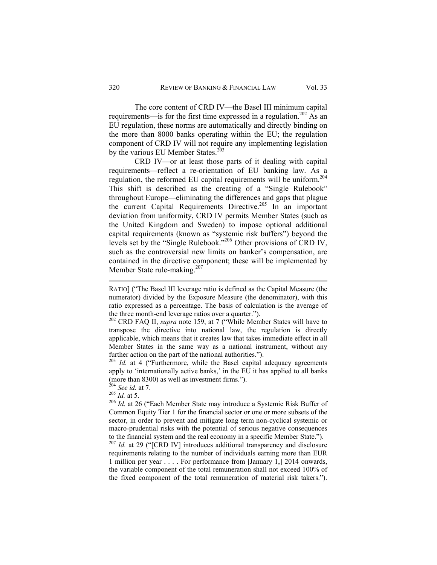The core content of CRD IV—the Basel III minimum capital requirements—is for the first time expressed in a regulation.<sup>202</sup> As an EU regulation, these norms are automatically and directly binding on the more than 8000 banks operating within the EU; the regulation component of CRD IV will not require any implementing legislation by the various EU Member States. $203$ 

CRD IV—or at least those parts of it dealing with capital requirements—reflect a re-orientation of EU banking law. As a regulation, the reformed EU capital requirements will be uniform.<sup>204</sup> This shift is described as the creating of a "Single Rulebook" throughout Europe—eliminating the differences and gaps that plague the current Capital Requirements Directive.<sup>205</sup> In an important deviation from uniformity, CRD IV permits Member States (such as the United Kingdom and Sweden) to impose optional additional capital requirements (known as "systemic risk buffers") beyond the levels set by the "Single Rulebook."206 Other provisions of CRD IV, such as the controversial new limits on banker's compensation, are contained in the directive component; these will be implemented by Member State rule-making.<sup>207</sup>

<sup>203</sup> Id. at 4 ("Furthermore, while the Basel capital adequacy agreements apply to 'internationally active banks,' in the EU it has applied to all banks (more than 8300) as well as investment firms.").

requirements relating to the number of individuals earning more than EUR 1 million per year . . . . For performance from [January 1,] 2014 onwards, the variable component of the total remuneration shall not exceed 100% of the fixed component of the total remuneration of material risk takers.").

RATIO] ("The Basel III leverage ratio is defined as the Capital Measure (the numerator) divided by the Exposure Measure (the denominator), with this ratio expressed as a percentage. The basis of calculation is the average of the three month-end leverage ratios over a quarter."). 202 CRD FAQ II, *supra* note 159, at 7 ("While Member States will have to

transpose the directive into national law, the regulation is directly applicable, which means that it creates law that takes immediate effect in all Member States in the same way as a national instrument, without any further action on the part of the national authorities.").

<sup>204</sup> *See id.* at 7. 205 *Id.* at 5. 206 *Id.* at 26 ("Each Member State may introduce a Systemic Risk Buffer of Common Equity Tier 1 for the financial sector or one or more subsets of the sector, in order to prevent and mitigate long term non-cyclical systemic or macro-prudential risks with the potential of serious negative consequences to the financial system and the real economy in a specific Member State."). 207 *Id.* at 29 ("[CRD IV] introduces additional transparency and disclosure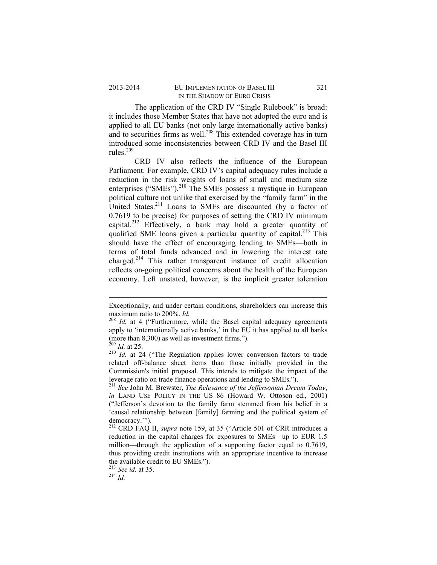## 2013-2014 EU IMPLEMENTATION OF BASEL III 321 IN THE SHADOW OF EURO CRISIS

The application of the CRD IV "Single Rulebook" is broad: it includes those Member States that have not adopted the euro and is applied to all EU banks (not only large internationally active banks) and to securities firms as well. $^{208}$  This extended coverage has in turn introduced some inconsistencies between CRD IV and the Basel III rules. $209$ 

CRD IV also reflects the influence of the European Parliament. For example, CRD IV's capital adequacy rules include a reduction in the risk weights of loans of small and medium size enterprises ("SMEs").<sup>210</sup> The SMEs possess a mystique in European political culture not unlike that exercised by the "family farm" in the United States.<sup>211</sup> Loans to SMEs are discounted (by a factor of 0.7619 to be precise) for purposes of setting the CRD IV minimum capital.<sup>212</sup> Effectively, a bank may hold a greater quantity of qualified SME loans given a particular quantity of capital.<sup>213</sup> This should have the effect of encouraging lending to SMEs—both in terms of total funds advanced and in lowering the interest rate charged.214 This rather transparent instance of credit allocation reflects on-going political concerns about the health of the European economy. Left unstated, however, is the implicit greater toleration

<sup>213</sup> *See id.* at 35. 214 *Id.*

 Exceptionally, and under certain conditions, shareholders can increase this maximum ratio to 200%. *Id.* 

<sup>&</sup>lt;sup>208</sup> *Id.* at 4 ("Furthermore, while the Basel capital adequacy agreements apply to 'internationally active banks,' in the EU it has applied to all banks (more than 8,300) as well as investment firms.").<br> $^{209}$  *Id.* at 25.

<sup>&</sup>lt;sup>210</sup> *Id.* at 24 ("The Regulation applies lower conversion factors to trade related off-balance sheet items than those initially provided in the Commission's initial proposal. This intends to mitigate the impact of the leverage ratio on trade finance operations and lending to SMEs.").

<sup>211</sup> *See* John M. Brewster, *The Relevance of the Jeffersonian Dream Today*, *in* LAND USE POLICY IN THE US 86 (Howard W. Ottoson ed., 2001) ("Jefferson's devotion to the family farm stemmed from his belief in a 'causal relationship between [family] farming and the political system of democracy.'").

<sup>212</sup> CRD FAQ II, *supra* note 159, at 35 ("Article 501 of CRR introduces a reduction in the capital charges for exposures to SMEs—up to EUR 1.5 million—through the application of a supporting factor equal to 0.7619, thus providing credit institutions with an appropriate incentive to increase the available credit to EU SMEs.").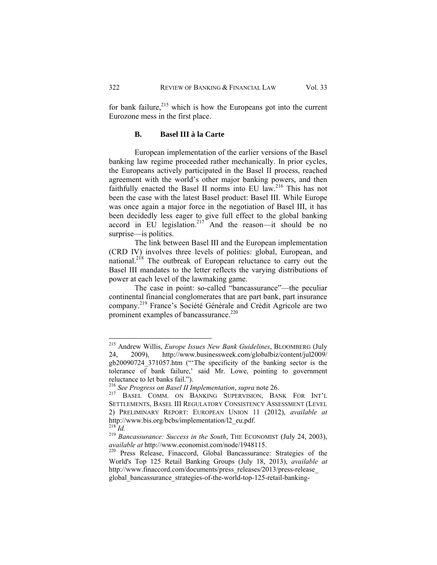for bank failure, $215$  which is how the Europeans got into the current Eurozone mess in the first place.

# **B. Basel III à la Carte**

European implementation of the earlier versions of the Basel banking law regime proceeded rather mechanically. In prior cycles, the Europeans actively participated in the Basel II process, reached agreement with the world's other major banking powers, and then faithfully enacted the Basel II norms into EU law.<sup>216</sup> This has not been the case with the latest Basel product: Basel III. While Europe was once again a major force in the negotiation of Basel III, it has been decidedly less eager to give full effect to the global banking accord in EU legislation.<sup>217</sup> And the reason—it should be no surprise—is politics.

The link between Basel III and the European implementation (CRD IV) involves three levels of politics: global, European, and national.<sup>218</sup> The outbreak of European reluctance to carry out the Basel III mandates to the letter reflects the varying distributions of power at each level of the lawmaking game.

The case in point: so-called "bancassurance"—the peculiar continental financial conglomerates that are part bank, part insurance company.219 France's Société Générale and Crédit Agricole are two prominent examples of bancassurance.<sup>220</sup>

<sup>215</sup> Andrew Willis, *Europe Issues New Bank Guidelines*, BLOOMBERG (July 24, 2009), http://www.businessweek.com/globalbiz/content/jul2009/ gb20090724\_371057.htm ("'The specificity of the banking sector is the tolerance of bank failure,' said Mr. Lowe, pointing to government reluctance to let banks fail.").

<sup>&</sup>lt;sup>216</sup> *See Progress on Basel II Implementation*, *supra* note 26. <sup>217</sup> BASEL COMM. ON BANKING SUPERVISION, BANK FOR INT'L SETTLEMENTS, BASEL III REGULATORY CONSISTENCY ASSESSMENT (LEVEL 2) PRELIMINARY REPORT: EUROPEAN UNION 11 (2012), *available at* http://www.bis.org/bcbs/implementation/l2\_eu.pdf.

<sup>&</sup>lt;sup>219</sup> *Bancassurance: Success in the South*, THE ECONOMIST (July 24, 2003), *available at http://www.economist.com/node/1948115.* 

<sup>&</sup>lt;sup>220</sup> Press Release, Finaccord, Global Bancassurance: Strategies of the World's Top 125 Retail Banking Groups (July 18, 2013), *available at* http://www.finaccord.com/documents/press\_releases/2013/press-release\_ global\_bancassurance\_strategies-of-the-world-top-125-retail-banking-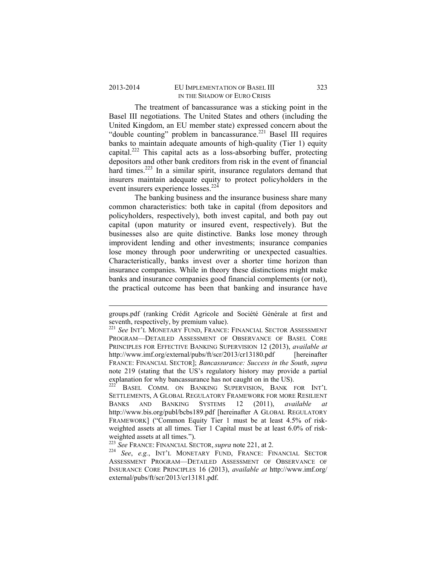#### 2013-2014 EU IMPLEMENTATION OF BASEL III 323 IN THE SHADOW OF EURO CRISIS

The treatment of bancassurance was a sticking point in the Basel III negotiations. The United States and others (including the United Kingdom, an EU member state) expressed concern about the "double counting" problem in bancassurance.<sup>221</sup> Basel III requires banks to maintain adequate amounts of high-quality (Tier 1) equity capital.<sup>222</sup> This capital acts as a loss-absorbing buffer, protecting depositors and other bank creditors from risk in the event of financial hard times.<sup>223</sup> In a similar spirit, insurance regulators demand that insurers maintain adequate equity to protect policyholders in the event insurers experience losses.<sup>224</sup>

The banking business and the insurance business share many common characteristics: both take in capital (from depositors and policyholders, respectively), both invest capital, and both pay out capital (upon maturity or insured event, respectively). But the businesses also are quite distinctive. Banks lose money through improvident lending and other investments; insurance companies lose money through poor underwriting or unexpected casualties. Characteristically, banks invest over a shorter time horizon than insurance companies. While in theory these distinctions might make banks and insurance companies good financial complements (or not), the practical outcome has been that banking and insurance have

BASEL COMM. ON BANKING SUPERVISION, BANK FOR INT'L SETTLEMENTS, A GLOBAL REGULATORY FRAMEWORK FOR MORE RESILIENT BANKS AND BANKING SYSTEMS 12 (2011), *available at* http://www.bis.org/publ/bcbs189.pdf [hereinafter A GLOBAL REGULATORY FRAMEWORK] ("Common Equity Tier 1 must be at least 4.5% of riskweighted assets at all times. Tier 1 Capital must be at least 6.0% of riskweighted assets at all times.").<br><sup>223</sup> See FRANCE: FINANCIAL SECTOR, *supra* note 221, at 2.

 groups.pdf (ranking Crédit Agricole and Société Générale at first and seventh, respectively, by premium value).

<sup>221</sup> *See* INT'L MONETARY FUND, FRANCE: FINANCIAL SECTOR ASSESSMENT PROGRAM—DETAILED ASSESSMENT OF OBSERVANCE OF BASEL CORE PRINCIPLES FOR EFFECTIVE BANKING SUPERVISION 12 (2013), *available at* http://www.imf.org/external/pubs/ft/scr/2013/cr13180.pdf [hereinafter] FRANCE: FINANCIAL SECTOR]; *Bancassurance: Success in the South*, *supra* note 219 (stating that the US's regulatory history may provide a partial explanation for why bancassurance has not caught on in the US).

<sup>223</sup> *See* FRANCE: FINANCIAL SECTOR, *supra* note 221, at 2. 224 *See*, *e.g.*, INT'L MONETARY FUND, FRANCE: FINANCIAL SECTOR ASSESSMENT PROGRAM—DETAILED ASSESSMENT OF OBSERVANCE OF INSURANCE CORE PRINCIPLES 16 (2013), *available at* http://www.imf.org/ external/pubs/ft/scr/2013/cr13181.pdf.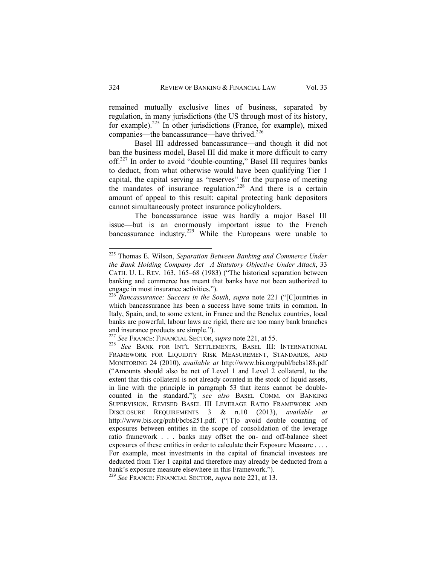remained mutually exclusive lines of business, separated by regulation, in many jurisdictions (the US through most of its history, for example).<sup>225</sup> In other jurisdictions (France, for example), mixed companies—the bancassurance—have thrived.<sup>226</sup>

Basel III addressed bancassurance—and though it did not ban the business model, Basel III did make it more difficult to carry off.<sup>227</sup> In order to avoid "double-counting," Basel III requires banks to deduct, from what otherwise would have been qualifying Tier 1 capital, the capital serving as "reserves" for the purpose of meeting the mandates of insurance regulation.<sup>228</sup> And there is a certain amount of appeal to this result: capital protecting bank depositors cannot simultaneously protect insurance policyholders.

The bancassurance issue was hardly a major Basel III issue—but is an enormously important issue to the French bancassurance industry.<sup>229</sup> While the Europeans were unable to

<sup>225</sup> Thomas E. Wilson, *Separation Between Banking and Commerce Under the Bank Holding Company Act—A Statutory Objective Under Attack*, 33 CATH. U. L. REV. 163, 165–68 (1983) ("The historical separation between banking and commerce has meant that banks have not been authorized to engage in most insurance activities.").

<sup>226</sup> *Bancassurance: Success in the South*, *supra* note 221 ("[C]ountries in which bancassurance has been a success have some traits in common. In Italy, Spain, and, to some extent, in France and the Benelux countries, local banks are powerful, labour laws are rigid, there are too many bank branches and insurance products are simple.").<br><sup>227</sup> See FRANCE: FINANCIAL SECTOR, *supra* note 221, at 55.

<sup>227</sup> *See* FRANCE: FINANCIAL SECTOR, *supra* note 221, at 55. 228 *See* BANK FOR INT'L SETTLEMENTS, BASEL III: INTERNATIONAL FRAMEWORK FOR LIQUIDITY RISK MEASUREMENT, STANDARDS, AND MONITORING 24 (2010), *available at* http://www.bis.org/publ/bcbs188.pdf ("Amounts should also be net of Level 1 and Level 2 collateral, to the extent that this collateral is not already counted in the stock of liquid assets, in line with the principle in paragraph 53 that items cannot be doublecounted in the standard."); *see also* BASEL COMM. ON BANKING SUPERVISION, REVISED BASEL III LEVERAGE RATIO FRAMEWORK AND DISCLOSURE REQUIREMENTS 3 & n.10 (2013), *available at* http://www.bis.org/publ/bcbs251.pdf. ("[T]o avoid double counting of exposures between entities in the scope of consolidation of the leverage ratio framework . . . banks may offset the on- and off-balance sheet exposures of these entities in order to calculate their Exposure Measure . . . . For example, most investments in the capital of financial investees are deducted from Tier 1 capital and therefore may already be deducted from a bank's exposure measure elsewhere in this Framework."). <sup>229</sup> *See* FRANCE: FINANCIAL SECTOR, *supra* note 221, at 13.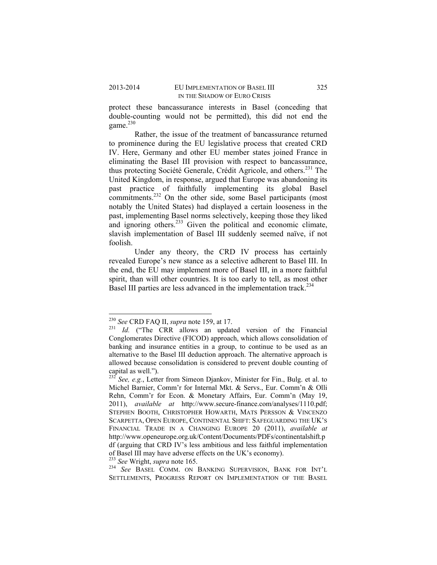protect these bancassurance interests in Basel (conceding that double-counting would not be permitted), this did not end the game $^{230}$ 

Rather, the issue of the treatment of bancassurance returned to prominence during the EU legislative process that created CRD IV. Here, Germany and other EU member states joined France in eliminating the Basel III provision with respect to bancassurance, thus protecting Société Generale, Crédit Agricole, and others.231 The United Kingdom, in response, argued that Europe was abandoning its past practice of faithfully implementing its global Basel commitments.<sup>232</sup> On the other side, some Basel participants (most notably the United States) had displayed a certain looseness in the past, implementing Basel norms selectively, keeping those they liked plast, imprementing  $233$  Given the political and economic climate, slavish implementation of Basel III suddenly seemed naïve, if not foolish.

Under any theory, the CRD IV process has certainly revealed Europe's new stance as a selective adherent to Basel III. In the end, the EU may implement more of Basel III, in a more faithful spirit, than will other countries. It is too early to tell, as most other Basel III parties are less advanced in the implementation track.<sup>234</sup>

<sup>&</sup>lt;sup>230</sup> *See* CRD FAQ II, *supra* note 159, at 17.<br><sup>231</sup> *Id.* ("The CRR allows an updated version of the Financial Conglomerates Directive (FICOD) approach, which allows consolidation of banking and insurance entities in a group, to continue to be used as an alternative to the Basel III deduction approach. The alternative approach is allowed because consolidation is considered to prevent double counting of capital as well.").<sup>232</sup> *See, e.g.*, Letter from Simeon Djankov, Minister for Fin., Bulg. et al. to

Michel Barnier, Comm'r for Internal Mkt. & Servs., Eur. Comm'n & Olli Rehn, Comm'r for Econ. & Monetary Affairs, Eur. Comm'n (May 19, 2011), *available at* http://www.secure-finance.com/analyses/1110.pdf; STEPHEN BOOTH, CHRISTOPHER HOWARTH, MATS PERSSON & VINCENZO SCARPETTA, OPEN EUROPE, CONTINENTAL SHIFT: SAFEGUARDING THE UK'S FINANCIAL TRADE IN A CHANGING EUROPE 20 (2011), *available at*  http://www.openeurope.org.uk/Content/Documents/PDFs/continentalshift.p df (arguing that CRD IV's less ambitious and less faithful implementation of Basel III may have adverse effects on the UK's economy).<br><sup>233</sup> See Wright, *supra* note 165.

<sup>&</sup>lt;sup>234</sup> See BASEL COMM. ON BANKING SUPERVISION, BANK FOR INT'L SETTLEMENTS, PROGRESS REPORT ON IMPLEMENTATION OF THE BASEL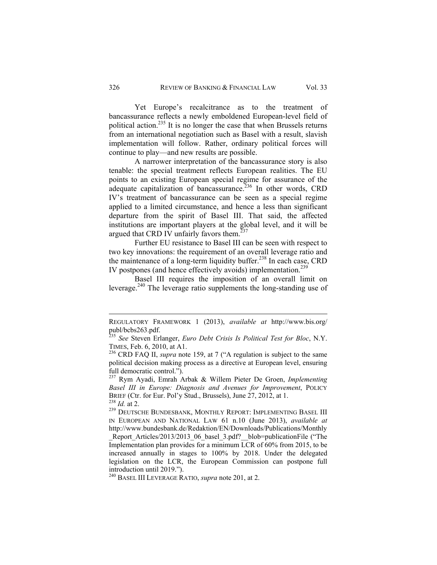Yet Europe's recalcitrance as to the treatment of bancassurance reflects a newly emboldened European-level field of political action.<sup>235</sup> It is no longer the case that when Brussels returns from an international negotiation such as Basel with a result, slavish implementation will follow. Rather, ordinary political forces will continue to play—and new results are possible.

A narrower interpretation of the bancassurance story is also tenable: the special treatment reflects European realities. The EU points to an existing European special regime for assurance of the adequate capitalization of bancassurance.<sup>236</sup> In other words, CRD IV's treatment of bancassurance can be seen as a special regime applied to a limited circumstance, and hence a less than significant departure from the spirit of Basel III. That said, the affected institutions are important players at the global level, and it will be argued that CRD IV unfairly favors them. $237$ 

Further EU resistance to Basel III can be seen with respect to two key innovations: the requirement of an overall leverage ratio and the maintenance of a long-term liquidity buffer.<sup>238</sup> In each case, CRD IV postpones (and hence effectively avoids) implementation.<sup>239</sup>

Basel III requires the imposition of an overall limit on leverage.<sup>240</sup> The leverage ratio supplements the long-standing use of

 REGULATORY FRAMEWORK 1 (2013), *available at* http://www.bis.org/ publ/bcbs263.pdf.

<sup>&</sup>lt;sup>235</sup> *See* Steven Erlanger, *Euro Debt Crisis Is Political Test for Bloc*, N.Y. TIMES. Feb. 6, 2010. at A1.

<sup>&</sup>lt;sup>236</sup> CRD FAQ II, *supra* note 159, at 7 ("A regulation is subject to the same political decision making process as a directive at European level, ensuring full democratic control.").

<sup>237</sup> Rym Ayadi, Emrah Arbak & Willem Pieter De Groen, *Implementing Basel III in Europe: Diagnosis and Avenues for Improvement*, POLICY BRIEF (Ctr. for Eur. Pol'y Stud., Brussels), June 27, 2012, at 1.<br><sup>238</sup> *Id.* at 2.<br><sup>239</sup> DEUTSCHE BUNDESBANK, MONTHLY REPORT: IMPLEMENTING BASEL III

IN EUROPEAN AND NATIONAL LAW 61 n.10 (June 2013), *available at*  http://www.bundesbank.de/Redaktion/EN/Downloads/Publications/Monthly \_Report\_Articles/2013/2013\_06\_basel\_3.pdf?\_\_blob=publicationFile ("The Implementation plan provides for a minimum LCR of 60% from 2015, to be increased annually in stages to 100% by 2018. Under the delegated legislation on the LCR, the European Commission can postpone full introduction until 2019.").

<sup>240</sup> BASEL III LEVERAGE RATIO, *supra* note 201, at 2.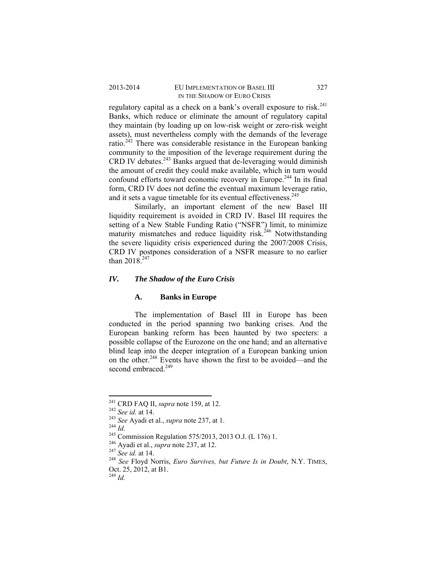## 2013-2014 EU IMPLEMENTATION OF BASEL III 327 IN THE SHADOW OF EURO CRISIS

regulatory capital as a check on a bank's overall exposure to risk.<sup>241</sup> Banks, which reduce or eliminate the amount of regulatory capital they maintain (by loading up on low-risk weight or zero-risk weight assets), must nevertheless comply with the demands of the leverage ratio. $242$  There was considerable resistance in the European banking community to the imposition of the leverage requirement during the CRD IV debates.243 Banks argued that de-leveraging would diminish the amount of credit they could make available, which in turn would confound efforts toward economic recovery in Europe.<sup>244</sup> In its final form, CRD IV does not define the eventual maximum leverage ratio, and it sets a vague timetable for its eventual effectiveness.<sup>245</sup>

Similarly, an important element of the new Basel III liquidity requirement is avoided in CRD IV. Basel III requires the setting of a New Stable Funding Ratio ("NSFR") limit, to minimize maturity mismatches and reduce liquidity risk.<sup>246</sup> Notwithstanding the severe liquidity crisis experienced during the 2007/2008 Crisis, CRD IV postpones consideration of a NSFR measure to no earlier than  $2018^{247}$ 

## *IV. The Shadow of the Euro Crisis*

#### **A. Banks in Europe**

The implementation of Basel III in Europe has been conducted in the period spanning two banking crises. And the European banking reform has been haunted by two specters: a possible collapse of the Eurozone on the one hand; and an alternative blind leap into the deeper integration of a European banking union on the other.248 Events have shown the first to be avoided—and the second embraced.<sup>249</sup>

 $^{241}$  CRD FAO II, *supra* note 159, at 12.

<sup>&</sup>lt;sup>242</sup> See id. at 14.<br>
<sup>243</sup> See Ayadi et al., *supra* note 237, at 1.<br>
<sup>244</sup> Id.<br>
<sup>246</sup> Commission Regulation 575/2013, 2013 O.J. (L 176) 1.<br>
<sup>246</sup> Ayadi et al., *supra* note 237, at 12.<br>
<sup>247</sup> See id. at 14.<br>
<sup>248</sup> See F Oct. 25, 2012, at B1.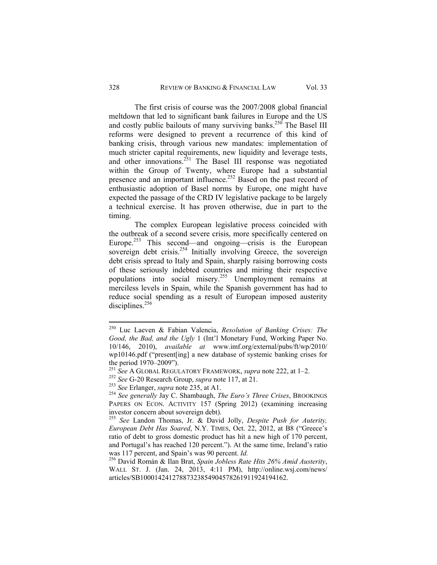The first crisis of course was the 2007/2008 global financial meltdown that led to significant bank failures in Europe and the US and costly public bailouts of many surviving banks.<sup>250</sup> The Basel III reforms were designed to prevent a recurrence of this kind of banking crisis, through various new mandates: implementation of much stricter capital requirements, new liquidity and leverage tests, and other innovations.<sup>251</sup> The Basel III response was negotiated within the Group of Twenty, where Europe had a substantial presence and an important influence.<sup>252</sup> Based on the past record of enthusiastic adoption of Basel norms by Europe, one might have expected the passage of the CRD IV legislative package to be largely a technical exercise. It has proven otherwise, due in part to the timing.

The complex European legislative process coincided with the outbreak of a second severe crisis, more specifically centered on Europe.<sup>253</sup> This second—and ongoing—crisis is the European sovereign debt crisis.<sup>254</sup> Initially involving Greece, the sovereign debt crisis spread to Italy and Spain, sharply raising borrowing costs of these seriously indebted countries and miring their respective populations into social misery.255 Unemployment remains at merciless levels in Spain, while the Spanish government has had to reduce social spending as a result of European imposed austerity disciplines.<sup>256</sup>

<sup>250</sup> Luc Laeven & Fabian Valencia, *Resolution of Banking Crises: The Good, the Bad, and the Ugly* 1 (Int'l Monetary Fund, Working Paper No. 10/146, 2010), *available at* www.imf.org/external/pubs/ft/wp/2010/ wp10146.pdf ("present[ing] a new database of systemic banking crises for the period 1970–2009").<br><sup>251</sup> See A GLOBAL REGULATORY FRAMEWORK, *supra* note 222, at 1–2.

<sup>&</sup>lt;sup>252</sup> See G-20 Research Group, *supra* note 117, at 21.<br>
<sup>253</sup> See Erlanger, *supra* note 235, at A1.<br>
<sup>254</sup> See generally Jay C. Shambaugh, *The Euro's Three Crises*, BROOKINGS PAPERS ON ECON. ACTIVITY 157 (Spring 2012) (examining increasing investor concern about sovereign debt).

<sup>255</sup> *See* Landon Thomas, Jr. & David Jolly, *Despite Push for Auterity, European Debt Has Soared*, N.Y. TIMES, Oct. 22, 2012, at B8 ("Greece's ratio of debt to gross domestic product has hit a new high of 170 percent, and Portugal's has reached 120 percent."). At the same time, Ireland's ratio was 117 percent, and Spain's was 90 percent. *Id.* 256 David Román & Ilan Brat, *Spain Jobless Rate Hits 26% Amid Austerity*,

WALL ST. J. (Jan. 24, 2013, 4:11 PM), http://online.wsj.com/news/ articles/SB10001424127887323854904578261911924194162.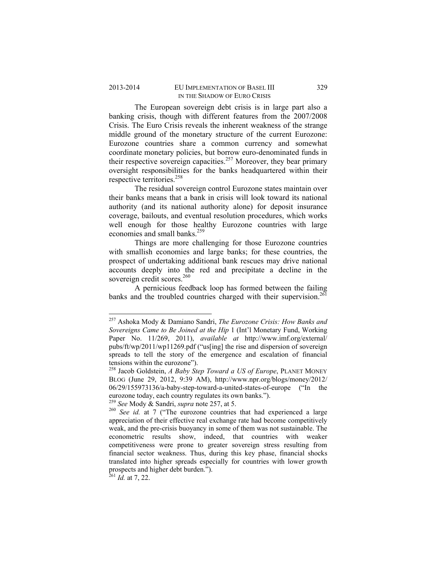The European sovereign debt crisis is in large part also a banking crisis, though with different features from the 2007/2008 Crisis. The Euro Crisis reveals the inherent weakness of the strange middle ground of the monetary structure of the current Eurozone: Eurozone countries share a common currency and somewhat coordinate monetary policies, but borrow euro-denominated funds in their respective sovereign capacities.<sup>257</sup> Moreover, they bear primary oversight responsibilities for the banks headquartered within their respective territories.<sup>258</sup>

The residual sovereign control Eurozone states maintain over their banks means that a bank in crisis will look toward its national authority (and its national authority alone) for deposit insurance coverage, bailouts, and eventual resolution procedures, which works well enough for those healthy Eurozone countries with large economies and small banks.<sup>259</sup>

Things are more challenging for those Eurozone countries with smallish economies and large banks; for these countries, the prospect of undertaking additional bank rescues may drive national accounts deeply into the red and precipitate a decline in the sovereign credit scores.<sup>260</sup>

A pernicious feedback loop has formed between the failing banks and the troubled countries charged with their supervision.<sup>261</sup>

 $^{261}$  *Id.* at 7, 22.

<sup>257</sup> Ashoka Mody & Damiano Sandri, *The Eurozone Crisis: How Banks and Sovereigns Came to Be Joined at the Hip* 1 (Int'l Monetary Fund, Working Paper No. 11/269, 2011), *available at* http://www.imf.org/external/ pubs/ft/wp/2011/wp11269.pdf ("us[ing] the rise and dispersion of sovereign spreads to tell the story of the emergence and escalation of financial tensions within the eurozone").

<sup>258</sup> Jacob Goldstein, *A Baby Step Toward a US of Europe*, PLANET MONEY BLOG (June 29, 2012, 9:39 AM), http://www.npr.org/blogs/money/2012/ 06/29/155973136/a-baby-step-toward-a-united-states-of-europe ("In the eurozone today, each country regulates its own banks."). 259 *See* Mody & Sandri, *supra* note 257, at 5. 260 *See id.* at 7 ("The eurozone countries that had experienced a large

appreciation of their effective real exchange rate had become competitively weak, and the pre-crisis buoyancy in some of them was not sustainable. The econometric results show, indeed, that countries with weaker competitiveness were prone to greater sovereign stress resulting from financial sector weakness. Thus, during this key phase, financial shocks translated into higher spreads especially for countries with lower growth prospects and higher debt burden.").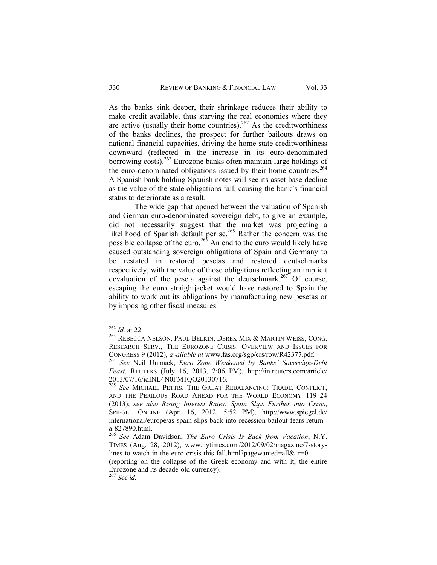As the banks sink deeper, their shrinkage reduces their ability to make credit available, thus starving the real economies where they are active (usually their home countries).<sup>262</sup> As the creditworthiness of the banks declines, the prospect for further bailouts draws on national financial capacities, driving the home state creditworthiness downward (reflected in the increase in its euro-denominated borrowing costs).<sup>263</sup> Eurozone banks often maintain large holdings of the euro-denominated obligations issued by their home countries.<sup>264</sup> A Spanish bank holding Spanish notes will see its asset base decline as the value of the state obligations fall, causing the bank's financial status to deteriorate as a result.

The wide gap that opened between the valuation of Spanish and German euro-denominated sovereign debt, to give an example, did not necessarily suggest that the market was projecting a likelihood of Spanish default per se.<sup>265</sup> Rather the concern was the possible collapse of the euro.<sup>26 $\delta$ </sup> An end to the euro would likely have caused outstanding sovereign obligations of Spain and Germany to be restated in restored pesetas and restored deutschmarks respectively, with the value of those obligations reflecting an implicit devaluation of the peseta against the deutschmark.<sup>267</sup> Of course, escaping the euro straightjacket would have restored to Spain the ability to work out its obligations by manufacturing new pesetas or by imposing other fiscal measures.

<sup>&</sup>lt;sup>262</sup> *Id.* at 22.<br><sup>263</sup> REBECCA NELSON, PAUL BELKIN, DEREK MIX & MARTIN WEISS, CONG. RESEARCH SERV., THE EUROZONE CRISIS: OVERVIEW AND ISSUES FOR CONGRESS 9 (2012), *available at* www.fas.org/sgp/crs/row/R42377.pdf. 264 *See* Neil Unmack, *Euro Zone Weakened by Banks' Sovereign-Debt* 

*Feast*, REUTERS (July 16, 2013, 2:06 PM), http://in.reuters.com/article/ 2013/07/16/idINL4N0FM1QO20130716.

<sup>265</sup> *See* MICHAEL PETTIS, THE GREAT REBALANCING: TRADE, CONFLICT, AND THE PERILOUS ROAD AHEAD FOR THE WORLD ECONOMY 119–24 (2013); *see also Rising Interest Rates: Spain Slips Further into Crisis*, SPIEGEL ONLINE (Apr. 16, 2012, 5:52 PM), http://www.spiegel.de/ international/europe/as-spain-slips-back-into-recession-bailout-fears-returna-827890.html.

<sup>266</sup> *See* Adam Davidson, *The Euro Crisis Is Back from Vacation*, N.Y. TIMES (Aug. 28, 2012), www.nytimes.com/2012/09/02/magazine/7-storylines-to-watch-in-the-euro-crisis-this-fall.html?pagewanted=all& $r=0$ 

<sup>(</sup>reporting on the collapse of the Greek economy and with it, the entire Eurozone and its decade-old currency).

<sup>267</sup> *See id.*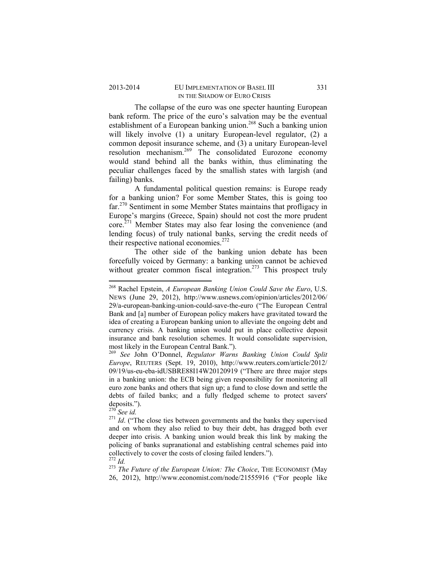#### 2013-2014 EU IMPLEMENTATION OF BASEL III 331 IN THE SHADOW OF EURO CRISIS

The collapse of the euro was one specter haunting European bank reform. The price of the euro's salvation may be the eventual establishment of a European banking union.<sup>268</sup> Such a banking union will likely involve (1) a unitary European-level regulator, (2) a common deposit insurance scheme, and (3) a unitary European-level resolution mechanism.269 The consolidated Eurozone economy would stand behind all the banks within, thus eliminating the peculiar challenges faced by the smallish states with largish (and failing) banks.

A fundamental political question remains: is Europe ready for a banking union? For some Member States, this is going too far.270 Sentiment in some Member States maintains that profligacy in Europe's margins (Greece, Spain) should not cost the more prudent core.271 Member States may also fear losing the convenience (and lending focus) of truly national banks, serving the credit needs of their respective national economies. $272$ 

The other side of the banking union debate has been forcefully voiced by Germany: a banking union cannot be achieved without greater common fiscal integration.<sup>273</sup> This prospect truly

<sup>268</sup> Rachel Epstein, *A European Banking Union Could Save the Euro*, U.S. NEWS (June 29, 2012), http://www.usnews.com/opinion/articles/2012/06/ 29/a-european-banking-union-could-save-the-euro ("The European Central Bank and [a] number of European policy makers have gravitated toward the idea of creating a European banking union to alleviate the ongoing debt and currency crisis. A banking union would put in place collective deposit insurance and bank resolution schemes. It would consolidate supervision, most likely in the European Central Bank.").

<sup>269</sup> *See* John O'Donnel, *Regulator Warns Banking Union Could Split Europe*, REUTERS (Sept. 19, 2010), http://www.reuters.com/article/2012/ 09/19/us-eu-eba-idUSBRE88I14W20120919 ("There are three major steps in a banking union: the ECB being given responsibility for monitoring all euro zone banks and others that sign up; a fund to close down and settle the debts of failed banks; and a fully fledged scheme to protect savers' deposits.").<br><sup>270</sup> See id.

 $271$  *Id.* ("The close ties between governments and the banks they supervised and on whom they also relied to buy their debt, has dragged both ever deeper into crisis. A banking union would break this link by making the policing of banks supranational and establishing central schemes paid into collectively to cover the costs of closing failed lenders.").

<sup>&</sup>lt;sup>272</sup> Id.<br><sup>273</sup> The Future of the European Union: The Choice, THE ECONOMIST (May 26, 2012), http://www.economist.com/node/21555916 ("For people like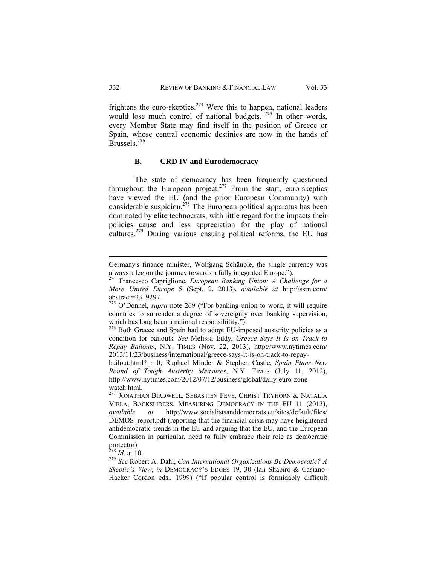frightens the euro-skeptics. $274$  Were this to happen, national leaders would lose much control of national budgets.<sup>275</sup> In other words, every Member State may find itself in the position of Greece or Spain, whose central economic destinies are now in the hands of Brussels.<sup>276</sup>

## **B. CRD IV and Eurodemocracy**

The state of democracy has been frequently questioned throughout the European project.<sup>277</sup> From the start, euro-skeptics have viewed the EU (and the prior European Community) with considerable suspicion.<sup>278</sup> The European political apparatus has been dominated by elite technocrats, with little regard for the impacts their policies cause and less appreciation for the play of national cultures.<sup>279</sup> During various ensuing political reforms, the EU has

 Germany's finance minister, Wolfgang Schäuble, the single currency was always a leg on the journey towards a fully integrated Europe.").

<sup>274</sup> Francesco Capriglione, *European Banking Union: A Challenge for a More United Europe* 5 (Sept. 2, 2013), *available at* http://ssrn.com/ abstract=2319297.

<sup>275</sup> O'Donnel, *supra* note 269 ("For banking union to work, it will require countries to surrender a degree of sovereignty over banking supervision, which has long been a national responsibility.").

<sup>&</sup>lt;sup>276</sup> Both Greece and Spain had to adopt EU-imposed austerity policies as a condition for bailouts. *See* Melissa Eddy, *Greece Says It Is on Track to Repay Bailouts*, N.Y. TIMES (Nov. 22, 2013), http://www.nytimes.com/ 2013/11/23/business/international/greece-says-it-is-on-track-to-repay-

bailout.html?\_r=0; Raphael Minder & Stephen Castle, *Spain Plans New Round of Tough Austerity Measures*, N.Y. TIMES (July 11, 2012), http://www.nytimes.com/2012/07/12/business/global/daily-euro-zonewatch.html.

<sup>&</sup>lt;sup>277</sup> JONATHAN BIRDWELL, SEBASTIEN FEVE, CHRIST TRYHORN & NATALIA VIBLA, BACKSLIDERS: MEASURING DEMOCRACY IN THE EU 11 (2013), *available at* http://www.socialistsanddemocrats.eu/sites/default/files/ DEMOS report.pdf (reporting that the financial crisis may have heightened antidemocratic trends in the EU and arguing that the EU, and the European Commission in particular, need to fully embrace their role as democratic protector).<br> $^{278}$  *Id.* at 10.

<sup>&</sup>lt;sup>279</sup> See Robert A. Dahl, *Can International Organizations Be Democratic? A Skeptic's View*, *in* DEMOCRACY'S EDGES 19, 30 (Ian Shapiro & Casiano-Hacker Cordon eds., 1999) ("If popular control is formidably difficult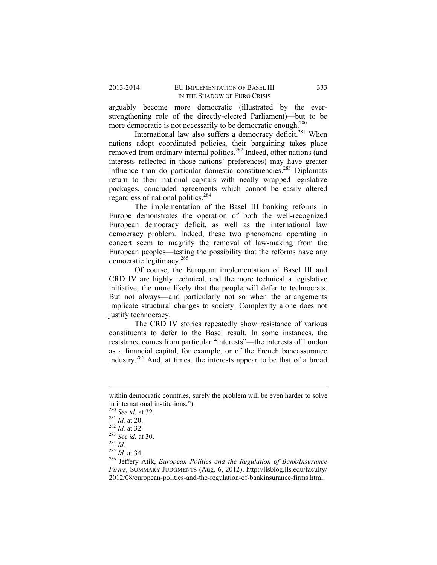arguably become more democratic (illustrated by the everstrengthening role of the directly-elected Parliament)—but to be more democratic is not necessarily to be democratic enough.<sup>280</sup>

International law also suffers a democracy deficit.<sup>281</sup> When nations adopt coordinated policies, their bargaining takes place removed from ordinary internal politics.<sup>282</sup> Indeed, other nations (and interests reflected in those nations' preferences) may have greater influence than do particular domestic constituencies.<sup>283</sup> Diplomats return to their national capitals with neatly wrapped legislative packages, concluded agreements which cannot be easily altered regardless of national politics.<sup>284</sup>

The implementation of the Basel III banking reforms in Europe demonstrates the operation of both the well-recognized European democracy deficit, as well as the international law democracy problem. Indeed, these two phenomena operating in concert seem to magnify the removal of law-making from the European peoples—testing the possibility that the reforms have any democratic legitimacy.285

Of course, the European implementation of Basel III and CRD IV are highly technical, and the more technical a legislative initiative, the more likely that the people will defer to technocrats. But not always—and particularly not so when the arrangements implicate structural changes to society. Complexity alone does not justify technocracy.

The CRD IV stories repeatedly show resistance of various constituents to defer to the Basel result. In some instances, the resistance comes from particular "interests"—the interests of London as a financial capital, for example, or of the French bancassurance industry.286 And, at times, the interests appear to be that of a broad

<sup>&</sup>lt;u> 1989 - Johann Stein, marwolaethau a bhann an t-Amhain Aonaichte ann an t-Amhain Aonaichte ann an t-Amhain Aon</u> within democratic countries, surely the problem will be even harder to solve in international institutions.").<br> $^{280}$  See id. at 32.

<sup>281</sup> *Id.* at 20.<br>
<sup>282</sup> *Id.* at 32.<br>
<sup>283</sup> *See id.* at 30.<br>
<sup>285</sup> *Id.* at 34.<br>
<sup>286</sup> Jeffery Atik, *European Politics and the Regulation of Bank/Insurance Firms*, SUMMARY JUDGMENTS (Aug. 6, 2012), http://llsblog.lls.edu/faculty/ 2012/08/european-politics-and-the-regulation-of-bankinsurance-firms.html.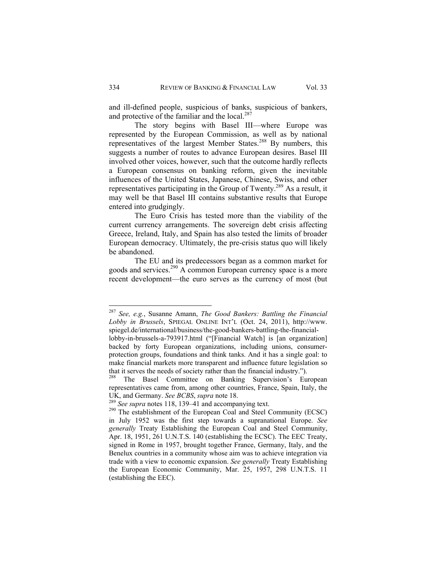and ill-defined people, suspicious of banks, suspicious of bankers, and protective of the familiar and the local.<sup>287</sup>

The story begins with Basel III—where Europe was represented by the European Commission, as well as by national representatives of the largest Member States.288 By numbers, this suggests a number of routes to advance European desires. Basel III involved other voices, however, such that the outcome hardly reflects a European consensus on banking reform, given the inevitable influences of the United States, Japanese, Chinese, Swiss, and other representatives participating in the Group of Twenty.289 As a result, it may well be that Basel III contains substantive results that Europe entered into grudgingly.

The Euro Crisis has tested more than the viability of the current currency arrangements. The sovereign debt crisis affecting Greece, Ireland, Italy, and Spain has also tested the limits of broader European democracy. Ultimately, the pre-crisis status quo will likely be abandoned.

The EU and its predecessors began as a common market for goods and services.<sup>290</sup> A common European currency space is a more recent development—the euro serves as the currency of most (but

<sup>287</sup> *See, e.g.*, Susanne Amann, *The Good Bankers: Battling the Financial Lobby in Brussels*, SPIEGAL ONLINE INT'L (Oct. 24, 2011), http://www. spiegel.de/international/business/the-good-bankers-battling-the-financial-

lobby-in-brussels-a-793917.html ("[Financial Watch] is [an organization] backed by forty European organizations, including unions, consumerprotection groups, foundations and think tanks. And it has a single goal: to make financial markets more transparent and influence future legislation so that it serves the needs of society rather than the financial industry.").

The Basel Committee on Banking Supervision's European representatives came from, among other countries, France, Spain, Italy, the UK, and Germany. *See BCBS*, *supra* note 18.<br><sup>289</sup> *See supra* notes 118, 139–41 and accompanying text.<br><sup>290</sup> The establishment of the European Coal and Steel Community (ECSC)

in July 1952 was the first step towards a supranational Europe. *See generally* Treaty Establishing the European Coal and Steel Community, Apr. 18, 1951, 261 U.N.T.S. 140 (establishing the ECSC). The EEC Treaty, signed in Rome in 1957, brought together France, Germany, Italy, and the Benelux countries in a community whose aim was to achieve integration via trade with a view to economic expansion. *See generally* Treaty Establishing the European Economic Community, Mar. 25, 1957, 298 U.N.T.S. 11 (establishing the EEC).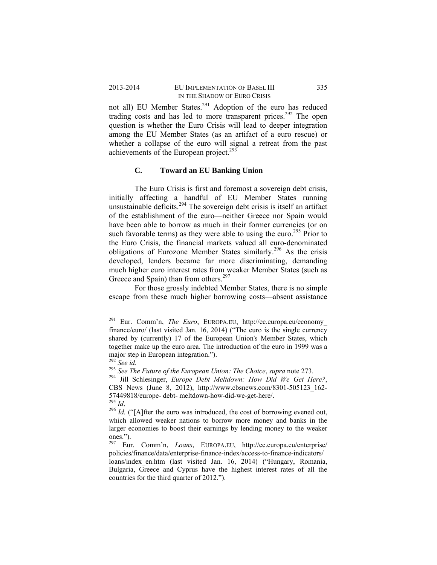## 2013-2014 EU IMPLEMENTATION OF BASEL III 335 IN THE SHADOW OF EURO CRISIS

not all) EU Member States.<sup>291</sup> Adoption of the euro has reduced trading costs and has led to more transparent prices.<sup>292</sup> The open question is whether the Euro Crisis will lead to deeper integration among the EU Member States (as an artifact of a euro rescue) or whether a collapse of the euro will signal a retreat from the past achievements of the European project.<sup>293</sup>

# **C. Toward an EU Banking Union**

The Euro Crisis is first and foremost a sovereign debt crisis, initially affecting a handful of EU Member States running unsustainable deficits.<sup>294</sup> The sovereign debt crisis is itself an artifact of the establishment of the euro—neither Greece nor Spain would have been able to borrow as much in their former currencies (or on such favorable terms) as they were able to using the euro.<sup>295</sup> Prior to the Euro Crisis, the financial markets valued all euro-denominated obligations of Eurozone Member States similarly.<sup>296</sup> As the crisis developed, lenders became far more discriminating, demanding much higher euro interest rates from weaker Member States (such as Greece and Spain) than from others.<sup>297</sup>

For those grossly indebted Member States, there is no simple escape from these much higher borrowing costs—absent assistance

<sup>291</sup> Eur. Comm'n, *The Euro*, EUROPA.EU, http://ec.europa.eu/economy\_ finance/euro/ (last visited Jan. 16, 2014) ("The euro is the single currency shared by (currently) 17 of the European Union's Member States, which together make up the euro area. The introduction of the euro in 1999 was a major step in European integration.").

<sup>292</sup> *See id.* <sup>293</sup> *See The Future of the European Union: The Choice*, *supra* note 273. 294 Jill Schlesinger, *Europe Debt Meltdown: How Did We Get Here?*, CBS News (June 8, 2012), http://www.cbsnews.com/8301-505123\_162- 57449818/europe- debt- meltdown-how-did-we-get-here/.  $^{295}$   $_{\rm\scriptstyle I\!A}$ 

<sup>&</sup>lt;sup>296</sup> *Id.* ("[A]fter the euro was introduced, the cost of borrowing evened out, which allowed weaker nations to borrow more money and banks in the larger economies to boost their earnings by lending money to the weaker

ones."). 297 Eur. Comm'n, *Loans*, EUROPA.EU, http://ec.europa.eu/enterprise/ policies/finance/data/enterprise-finance-index/access-to-finance-indicators/

loans/index en.htm (last visited Jan. 16, 2014) ("Hungary, Romania, Bulgaria, Greece and Cyprus have the highest interest rates of all the countries for the third quarter of 2012.").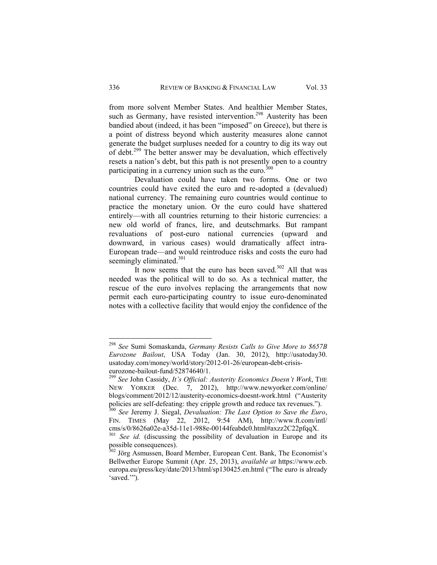from more solvent Member States. And healthier Member States, such as Germany, have resisted intervention.<sup>298</sup> Austerity has been bandied about (indeed, it has been "imposed" on Greece), but there is a point of distress beyond which austerity measures alone cannot generate the budget surpluses needed for a country to dig its way out of debt.299 The better answer may be devaluation, which effectively resets a nation's debt, but this path is not presently open to a country participating in a currency union such as the euro.<sup>300</sup>

Devaluation could have taken two forms. One or two countries could have exited the euro and re-adopted a (devalued) national currency. The remaining euro countries would continue to practice the monetary union. Or the euro could have shattered entirely—with all countries returning to their historic currencies: a new old world of francs, lire, and deutschmarks. But rampant revaluations of post-euro national currencies (upward and downward, in various cases) would dramatically affect intra-European trade—and would reintroduce risks and costs the euro had seemingly eliminated.<sup>301</sup>

It now seems that the euro has been saved.<sup>302</sup> All that was needed was the political will to do so. As a technical matter, the rescue of the euro involves replacing the arrangements that now permit each euro-participating country to issue euro-denominated notes with a collective facility that would enjoy the confidence of the

<sup>298</sup> *See* Sumi Somaskanda, *Germany Resists Calls to Give More to \$657B Eurozone Bailout*, USA Today (Jan. 30, 2012), http://usatoday30. usatoday.com/money/world/story/2012-01-26/european-debt-crisiseurozone-bailout-fund/52874640/1.

<sup>299</sup> *See* John Cassidy, *It's Official: Austerity Economics Doesn't Work*, THE NEW YORKER (Dec. 7, 2012), http://www.newyorker.com/online/ blogs/comment/2012/12/austerity-economics-doesnt-work.html ("Austerity policies are self-defeating: they cripple growth and reduce tax revenues."). 300 *See* Jeremy J. Siegal, *Devaluation: The Last Option to Save the Euro*,

FIN. TIMES (May 22, 2012, 9:54 AM), http://www.ft.com/intl/ cms/s/0/8626a02e-a35d-11e1-988e-00144feabdc0.html#axzz2C22pfqqX.

<sup>301</sup> *See id.* (discussing the possibility of devaluation in Europe and its possible consequences).

<sup>&</sup>lt;sup>302</sup> Jörg Asmussen, Board Member, European Cent. Bank, The Economist's Bellwether Europe Summit (Apr. 25, 2013), *available at* https://www.ecb. europa.eu/press/key/date/2013/html/sp130425.en.html ("The euro is already 'saved.'").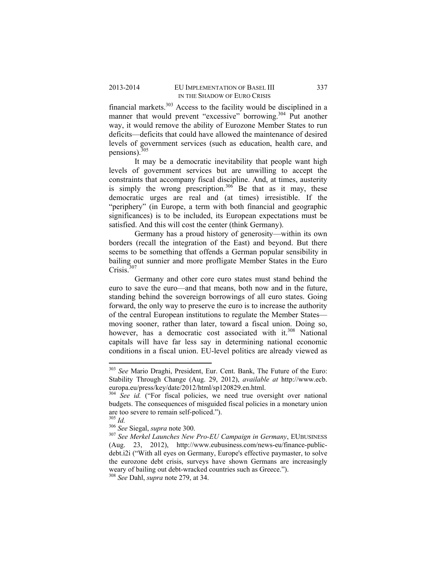financial markets.303 Access to the facility would be disciplined in a manner that would prevent "excessive" borrowing.<sup>304</sup> Put another way, it would remove the ability of Eurozone Member States to run deficits—deficits that could have allowed the maintenance of desired levels of government services (such as education, health care, and pensions).<sup>305</sup>

It may be a democratic inevitability that people want high levels of government services but are unwilling to accept the constraints that accompany fiscal discipline. And, at times, austerity is simply the wrong prescription.<sup>306</sup> Be that as it may, these democratic urges are real and (at times) irresistible. If the "periphery" (in Europe, a term with both financial and geographic significances) is to be included, its European expectations must be satisfied. And this will cost the center (think Germany).

Germany has a proud history of generosity—within its own borders (recall the integration of the East) and beyond. But there seems to be something that offends a German popular sensibility in bailing out sunnier and more profligate Member States in the Euro  $Crisis$ <sup>307</sup>

Germany and other core euro states must stand behind the euro to save the euro—and that means, both now and in the future, standing behind the sovereign borrowings of all euro states. Going forward, the only way to preserve the euro is to increase the authority of the central European institutions to regulate the Member States moving sooner, rather than later, toward a fiscal union. Doing so, however, has a democratic cost associated with it.<sup>308</sup> National capitals will have far less say in determining national economic conditions in a fiscal union. EU-level politics are already viewed as

<sup>303</sup> *See* Mario Draghi, President, Eur. Cent. Bank, The Future of the Euro: Stability Through Change (Aug. 29, 2012), *available at* http://www.ecb. europa.eu/press/key/date/2012/html/sp120829.en.html.

<sup>304</sup> *See id.* ("For fiscal policies, we need true oversight over national budgets. The consequences of misguided fiscal policies in a monetary union are too severe to remain self-policed.").<br> $\frac{305}{1}$  *Id* 

<sup>305</sup> *Id.* <sup>306</sup> *See* Siegal, *supra* note 300. 307 *See Merkel Launches New Pro-EU Campaign in Germany*, EUBUSINESS (Aug. 23, 2012), http://www.eubusiness.com/news-eu/finance-publicdebt.i2i ("With all eyes on Germany, Europe's effective paymaster, to solve the eurozone debt crisis, surveys have shown Germans are increasingly weary of bailing out debt-wracked countries such as Greece."). 308 *See* Dahl, *supra* note 279, at 34.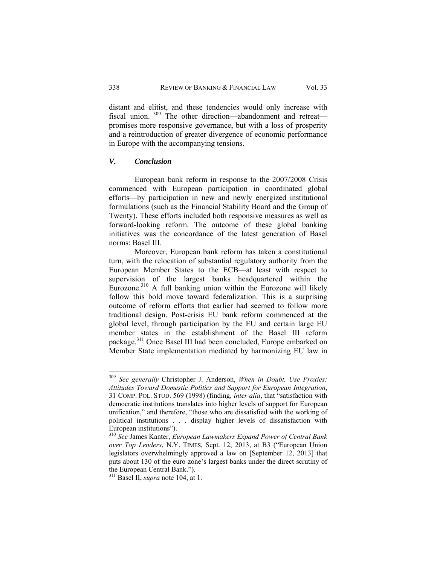distant and elitist, and these tendencies would only increase with fiscal union. 309 The other direction—abandonment and retreat promises more responsive governance, but with a loss of prosperity and a reintroduction of greater divergence of economic performance in Europe with the accompanying tensions.

# *V. Conclusion*

European bank reform in response to the 2007/2008 Crisis commenced with European participation in coordinated global efforts—by participation in new and newly energized institutional formulations (such as the Financial Stability Board and the Group of Twenty). These efforts included both responsive measures as well as forward-looking reform. The outcome of these global banking initiatives was the concordance of the latest generation of Basel norms: Basel III.

Moreover, European bank reform has taken a constitutional turn, with the relocation of substantial regulatory authority from the European Member States to the ECB—at least with respect to supervision of the largest banks headquartered within the Eurozone.<sup>310</sup> A full banking union within the Eurozone will likely follow this bold move toward federalization. This is a surprising outcome of reform efforts that earlier had seemed to follow more traditional design. Post-crisis EU bank reform commenced at the global level, through participation by the EU and certain large EU member states in the establishment of the Basel III reform package.311 Once Basel III had been concluded, Europe embarked on Member State implementation mediated by harmonizing EU law in

<sup>309</sup> *See generally* Christopher J. Anderson, *When in Doubt, Use Proxies: Attitudes Toward Domestic Politics and Support for European Integration*, 31 COMP. POL. STUD. 569 (1998) (finding, *inter alia*, that "satisfaction with democratic institutions translates into higher levels of support for European unification," and therefore, "those who are dissatisfied with the working of political institutions . . . display higher levels of dissatisfaction with European institutions").

<sup>310</sup> *See* James Kanter, *European Lawmakers Expand Power of Central Bank over Top Lenders*, N.Y. TIMES, Sept. 12, 2013, at B3 ("European Union legislators overwhelmingly approved a law on [September 12, 2013] that puts about 130 of the euro zone's largest banks under the direct scrutiny of the European Central Bank.").

<sup>311</sup> Basel II, *supra* note 104, at 1.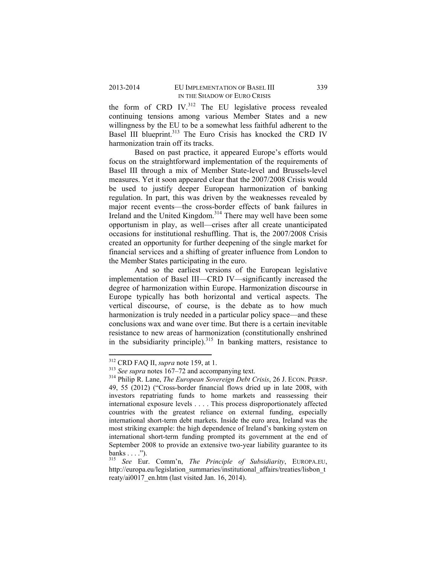the form of CRD IV. $312$  The EU legislative process revealed continuing tensions among various Member States and a new willingness by the EU to be a somewhat less faithful adherent to the Basel III blueprint.<sup>313</sup> The Euro Crisis has knocked the CRD IV harmonization train off its tracks.

Based on past practice, it appeared Europe's efforts would focus on the straightforward implementation of the requirements of Basel III through a mix of Member State-level and Brussels-level measures. Yet it soon appeared clear that the 2007/2008 Crisis would be used to justify deeper European harmonization of banking regulation. In part, this was driven by the weaknesses revealed by major recent events—the cross-border effects of bank failures in Ireland and the United Kingdom.<sup>314</sup> There may well have been some opportunism in play, as well—crises after all create unanticipated occasions for institutional reshuffling. That is, the 2007/2008 Crisis created an opportunity for further deepening of the single market for financial services and a shifting of greater influence from London to the Member States participating in the euro.

And so the earliest versions of the European legislative implementation of Basel III—CRD IV—significantly increased the degree of harmonization within Europe. Harmonization discourse in Europe typically has both horizontal and vertical aspects. The vertical discourse, of course, is the debate as to how much harmonization is truly needed in a particular policy space—and these conclusions wax and wane over time. But there is a certain inevitable resistance to new areas of harmonization (constitutionally enshrined in the subsidiarity principle).<sup>315</sup> In banking matters, resistance to

 $312$  CRD FAQ II, *supra* note 159, at 1.

<sup>&</sup>lt;sup>313</sup> See supra notes 167–72 and accompanying text.<br><sup>314</sup> Philip R. Lane, *The European Sovereign Debt Crisis*, 26 J. ECON. PERSP. 49, 55 (2012) ("Cross-border financial flows dried up in late 2008, with investors repatriating funds to home markets and reassessing their international exposure levels . . . . This process disproportionately affected countries with the greatest reliance on external funding, especially international short-term debt markets. Inside the euro area, Ireland was the most striking example: the high dependence of Ireland's banking system on international short-term funding prompted its government at the end of September 2008 to provide an extensive two-year liability guarantee to its banks  $\dots$  .").

<sup>315</sup> *See* Eur. Comm'n, *The Principle of Subsidiarity*, EUROPA.EU, http://europa.eu/legislation\_summaries/institutional\_affairs/treaties/lisbon\_t reaty/ai0017\_en.htm (last visited Jan. 16, 2014).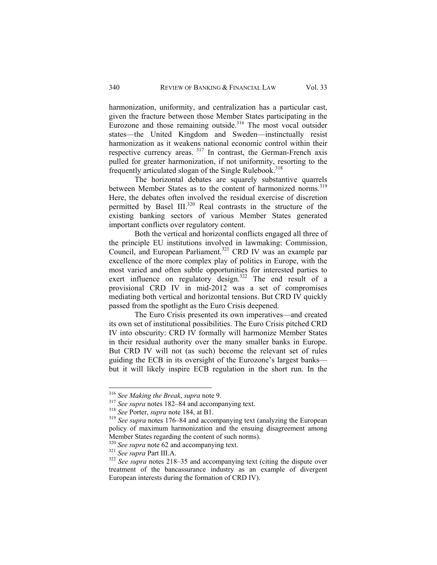harmonization, uniformity, and centralization has a particular cast, given the fracture between those Member States participating in the Eurozone and those remaining outside. $316$  The most vocal outsider states—the United Kingdom and Sweden—instinctually resist harmonization as it weakens national economic control within their respective currency areas. 317 In contrast, the German-French axis pulled for greater harmonization, if not uniformity, resorting to the frequently articulated slogan of the Single Rulebook.<sup>318</sup>

The horizontal debates are squarely substantive quarrels between Member States as to the content of harmonized norms.<sup>319</sup> Here, the debates often involved the residual exercise of discretion permitted by Basel III.<sup>320</sup> Real contrasts in the structure of the existing banking sectors of various Member States generated important conflicts over regulatory content.

Both the vertical and horizontal conflicts engaged all three of the principle EU institutions involved in lawmaking: Commission, Council, and European Parliament.<sup>321</sup> CRD IV was an example par excellence of the more complex play of politics in Europe, with the most varied and often subtle opportunities for interested parties to exert influence on regulatory design. $322$  The end result of a provisional CRD IV in mid-2012 was a set of compromises mediating both vertical and horizontal tensions. But CRD IV quickly passed from the spotlight as the Euro Crisis deepened.

The Euro Crisis presented its own imperatives—and created its own set of institutional possibilities. The Euro Crisis pitched CRD IV into obscurity: CRD IV formally will harmonize Member States in their residual authority over the many smaller banks in Europe. But CRD IV will not (as such) become the relevant set of rules guiding the ECB in its oversight of the Eurozone's largest banks but it will likely inspire ECB regulation in the short run. In the

<sup>&</sup>lt;sup>316</sup> See Making the Break, supra note 9.

<sup>&</sup>lt;sup>317</sup> See supra notes 182–84 and accompanying text.<br><sup>318</sup> See Porter, *supra* note 184, at B1.<br><sup>319</sup> See supra notes 176–84 and accompanying text (analyzing the European policy of maximum harmonization and the ensuing disagreement among Member States regarding the content of such norms).

<sup>&</sup>lt;sup>320</sup> *See supra* note 62 and accompanying text.<br><sup>321</sup> *See supra* Part III.A.<br><sup>322</sup> *See supra* notes 218–35 and accompanying text (citing the dispute over treatment of the bancassurance industry as an example of divergent European interests during the formation of CRD IV).